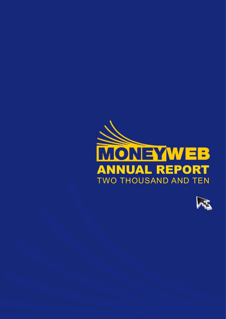

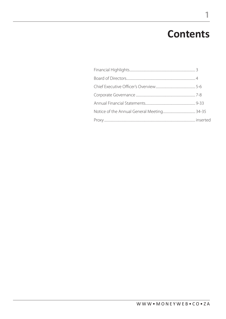## **Contents**

1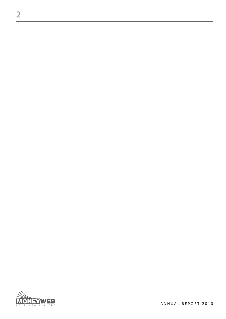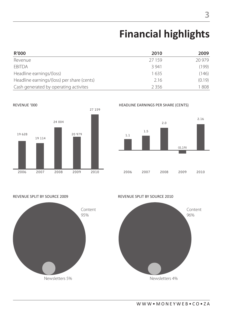# **Financial highlights**

| <b>R'000</b>                               | 2010    | 2009   |
|--------------------------------------------|---------|--------|
| Revenue                                    | 27 159  | 20 979 |
| EBITDA                                     | 3 9 4 1 | (199)  |
| Headline earnings/(loss)                   | 1635    | (146)  |
| Headline earnings/(loss) per share (cents) | 2.16    | (0.19) |
| Cash generated by operating activites      | 2 3 5 6 | 808    |





Newsletters 5% Content 95%

REVENUE SPLIT BY SOURCE 2009 REVENUE SPLIT BY SOURCE 2010



w w w • m o n e y w e b • c o • z a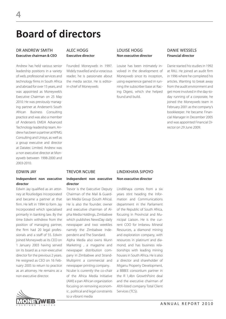## **Board of directors**

#### DR ANDREW SMITH ALEC HOGG LOUISE HOGG DANIE WESSELS **Executive chairman & CEO**

Andrew has held various senior leadership positions in a variety of web, professional services and technology firms in South Africa and abroad for over 15 years, and was appointed as Moneyweb's Executive Chairman on 25 May 2010. He was previously managing partner at Andersen's South African Business Consulting practice and was also a member of Andersen's EMEIA Advanced Technology leadership team. Andrew has been a partner at KPMG Consulting and Unisys, as well as a group executive and director at Datatec Limited. Andrew was a non executive director at Moneyweb between 1998-2000 and 2003-2010.

#### **Independent non executive director**

Edwin Jay qualified as an attorney at Routledges Incorporated and became a partner at that firm. He left in 1994 to form Jay Incorporated which specialised primarily in banking law. By the time Edwin withdrew from the position of managing partner, the firm had 20 legal professionals and a staff of 55. Edwin joined Moneyweb as its CEO on 1 January 2003 having served on its board as a non-executive director for the previous 2 years. He resigned as CEO on 16 February 2005 to return to practice as an attorney. He remains as a non executive director.



## **Executive director**

Founded Moneyweb in 1997. Widely travelled and a voracious reader, he is passionate about the media sector. He is editorin-chief of Moneyweb.

## **Non executive director**

Louise has been intimately involved in the development of Moneyweb since its inception, using experience gained in running the subscriber base at Racing Digest, which she helped found and build.

## **Financial director**

Danie started his studies in 1992 at RAU. He joined an audit firm in 1996 where he completed his articles. Wanting to break away from the audit environment and get more involved in the day-today running of a corporate, he joined the Moneyweb team in February 2001 as the company's bookkeeper. He became Financial Manager in December 2005 and was appointed Financial Director on 29 June 2009.

#### **Independent non executive director**

Trevor is the Executive Deputy Chairman of the Mail & Guardian Media Group (South Africa). He is also the founder, owner and executive chairman of Alpha Media Holdings, Zimbabwe which publishes NewsDay daily newspaper and two weeklies namely the Zimbabwe Independent and The Standard.

Alpha Media also owns Munn Marketing , a magazine and newspaper distribution company in Zimbabwe and Strand-Multiprint a commercial and newspaper printing company.

Ncube is currently the co-chair of the Africa Media Initiative (AMI) a pan African organization focusing on removing economic , political and legal constraints to a vibrant media

#### EDWIN JAY TREVOR NCUBE Lindikhaya Sipoyo

#### **Non executive director**

Lindikhaya comes from a six years stint heading the Information and Communications department in the Parliament of the Republic of South Africa, focusing in Provincial and Municipal Liaison. He is the current COO for Imbewu Mineral Resources, a diamond mining and exploration company, with resources in platinum and diamond, and has business relationships with leading mining houses in South Africa. He is also a director and shareholder of Miganu Property Development, a BBBEE consortium partner in the R 1,4bn GrowthPoint deal and the executive chairman of AltX-listed company Total Client Services (TCS).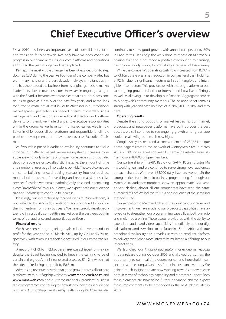## **Chief Executive Officer's overview**

Fiscal 2010 has been an important year of consolidation, focus and transition for Moneyweb. Not only have we seen continued progress in our financial results, our core platforms and operations all finished the year stronger and better placed.

Perhaps the most visible change has been Alec's decision to step down as CEO during the year. As Founder of the company, Alec has worn many hats over the past decade – always simultaneously – and has shepherded the business from its original genesis to market leader in its chosen market sectors. However, in ongoing dialogue with the Board, it became ever more clear that as our business continues to grow, as it has over the past few years, and as we look for further growth, not all of it in South Africa nor in our traditional market spaces, greater focus is needed in terms of overall business management and direction, as well editorial direction and platform delivery. To this end, we made changes to executive responsibilities within the group. As we have communicated earlier, Alec is now Editor-in-Chief across all our platforms and responsible for all new platform development, and I have taken over as Executive Chairman.

As favourable priced broadband availability continues to trickle into the South African market, we are seeing steady increases in our audience – not only in terms of unique home page visitors but also depth of audience or so-called stickiness, i.e. the amount of time and number of user page impressions per visit. These outcomes are critical to building forward-looking scaleability into our business model, both in terms of advertising and (eventually) transactive services. Provided we remain pathologically obsessed in remaining a core "*trusted friend*" to our audience, we expect both our audience size and *stickability* to continue to increase.

Pleasingly, our internationally focused website Mineweb.com, is not restricted by bandwidth limitations and continued to build on the momentum from previous years. We have steadily developed a toehold in a globally competitive market over the past year, both in terms of our audience and supportive advertisers .

#### **Financial results**

We have seen strong organic growth in both revenue and net profit for the year ended 31 March 2010, up by 29% and 28% respectively, with revenues at their highest level in our corporate history.

A net profit of R1.63m (2.15c per share) was achieved for the year despite the Board having decided to impair the carrying value of certain of the group's mini-sites related assets by R1.12m, which had the effect of reducing net profit by R0.81m.

Advertising revenues have shown good growth across all our core platforms, with our flagship websites **www.moneyweb.co.za** and www.mineweb.com and our three nationally broadcast business radio programmes continuing to show steady increases in audience numbers. Our strategic relationship with Google's Adsense also

continues to show good growth with annual receipts up by 60% in Rand terms. Pleasingly, the work done to reposition Mineweb is bearing fruit and it has made a positive contribution to earnings, having now solidly swung to profitability after years of loss making.

While the company's operating cash flow increased from R2.97m to R3.16m, there was a net reduction in our year end cash holdings of R2.1m due to significant investments in both tangible and intangible infrastructure. This provides us with a strong platform to pursue ongoing growth in both our Internet and broadcast offerings, as well as allowing us to develop our Financial Aggregator service to Moneyweb's community members. The balance sheet remains strong with year end cash holdings of R5.9m (2009: R8.0m) and zero debt.

#### **Operating results**

Despite the strong positions of market leadership our Internet, broadcast and newspaper platforms have built up over the past decade, we still continue to see ongoing growth among our core audience, allowing us to reach new highs.

Google Analytics recorded a core audience of 230,334 unique home page visitors to the network of Moneyweb sites in March 2010, a 10% increase year-on-year. Our email newsletter base has risen to over 88,000 unique members.

Our partnership with SABC Radio - on SAFM, RSG and Lotus FM - is working well and we continue to serve strong, loyal audiences on each channel. With over 683,000 daily listeners, we remain the strong market leader in radio business programming. Although our March 2010 audience numbers show an approximate 12% yearon-year decline, almost all our competitors have seen the same numerical fall off. We believe this is a consequence of the sampling methods used.

Our relocation to Melrose Arch and the significant upgrades and improvements we have made to our broadcast capabilities have allowed us to strengthen our programming capabilities both on radio and multimedia online. These assets provide us with the ability to extend our audio and video capabilities immediately onto our digital platforms, and as we look to the future in a South Africa with true broadband availability, this provides us with an excellent platform to delivery ever richer, more interactive multimedia offerings to our Internet titles.

We launched our *financial aggregator* moneywebmarket.co.za in beta release during October 2009 and allowed consumers the opportunity to gain real time quotes for car and household insurance on a price comparison basis from nine insurance vendors. We gained much insight and are now working towards a new release both in terms of technology capability and customer support. Both these elements are now being further enhanced and we expect these improvements to be embedded in the next release later in 2010.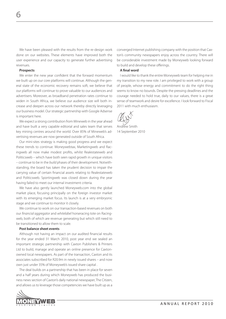We have been pleased with the results from the re-design work done on our websites. These elements have improved both the user experience and our capacity to generate further advertising revenues.

#### **Prospects**

We enter the new year confident that the forward momentum we built up on our core platforms will continue. Although the general state of the economic recovery remains soft, we believe that our platforms will continue to prove valuable to our audiences and advertisers. Moreover, as broadband penetration rates continue to widen in South Africa, we believe our audience size will both increase and deepen across our network thereby directly leveraging our business model. Our strategic partnership with Google Adsense is important here.

We expect a strong contribution from Mineweb in the year ahead and have built a very capable editorial and sales team that serves key mining centres around the world. Over 85% of Mineweb's advertising revenues are now generated outside of South Africa.

Our mini-sites strategy is making good progress and we expect these trends to continue. Moneywebtax, Marketingweb and Racingweb all now make modest profits, whilst Realestateweb and Politicsweb – which have both seen rapid growth in unique visitors – continue to be in the *build* phases of their development. Notwithstanding, the board has taken the prudent decision to impair the carrying value of certain financial assets relating to Realestateweb and Politicsweb. Sportingweb was closed down during the year having failed to meet our internal investment criteria.

We have also gently launched Moneyweb.com into the global market place, focusing principally on the foreign investor market with its emerging market focus. Its launch is at a very embryonic stage and we continue to monitor it closely.

We continue to work on our transaction-based revenues on both our *financial aggregator* and *whitelabel* horseracing tote on Racingweb, both of which are revenue generating but which still need to be transitioned to allow them to scale.

#### **Post balance sheet events**

Although not having an impact on our audited financial results for the year ended 31 March 2010, post year end we sealed an important strategic partnership with Caxton Publishers & Printers Ltd to build, manage and operate an online presence for Caxtonowned local newspapers. As part of the transaction, Caxton and its associates subscribed for R20.9m in newly issued shares – and now own just under 35% of Moneyweb's issued share capital .

The deal builds on a partnership that has been in place for seven and a half years during which Moneyweb has produced the business news section of Caxton's daily national newspaper, The Citizen, and allows us to leverage those competencies we have built up as a



converged Internet publishing company with the position that Caxton's community newspapers enjoy across the country. There will be considerable investment made by Moneyweb looking forward to build and develop these offerings.

#### **A final word**

I would like to thank the entire Moneyweb team for helping me in my transition to my new role. I am privileged to work with a group of people, whose energy and commitment to do the right thing seems to know no bounds. Despite the pressing deadlines and the courage needed to hold true, daily to our values, there is a great sense of teamwork and desire for excellence. I look forward to Fiscal 2011 with much enthusiasm.

Andrew Smith 14 September 2010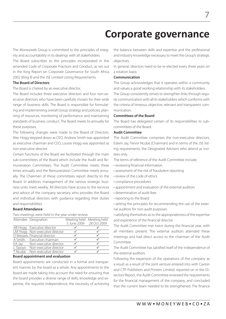## **Corporate governance**

The Moneyweb Group is committed to the principles of integrity and accountability in its dealings with all stakeholders.

The Board subscribes to the principles incorporated in the amended Code of Corporate Practices and Conduct, as set out in the King Report on Corporate Governance for South Africa 2002 (King II) and the JSE Limited Listing Requirements.

#### **The Board of Directors**

The Board is chaired by an executive director.

The Board includes three executive directors and four non-executive directors who have been carefully chosen for their wide range of business skills. The Board is responsible for formulating and implementing overall Group strategy and policies, planning of resources, monitoring of performance and maintaining standards of business conduct. The Board meets bi-annually for these purposes.

The following changes were made to the Board of Directors. Alec Hogg stepped down as CEO, Andrew Smith was appointed as executive chairman and CEO, Louise Hogg was appointed as non-executive director.

Certain functions of the Board are facilitated through the main sub-committees of the Board which include the Audit and Remuneration Committees. The Audit Committee meets three times annually and the Remuneration Committee meets annually. The Chairmen of these committees report directly to the Board. In addition, management of the various strategic business units meet weekly. All directors have access to the services and advice of the company secretary who provides the Board and individual directors with guidance regarding their duties and responsibilities.

#### **Board Attendance**

Two meetings were held in the year under review

|                | Attendee Designation           | Meeting held Meeting held<br>5 June 2009 28 Oct 2009 |  |
|----------------|--------------------------------|------------------------------------------------------|--|
|                | AB Hogg Executive director     |                                                      |  |
|                | LM Hogg Non-executive director |                                                      |  |
|                | D Wessels Financial director   |                                                      |  |
|                | A Smith Executive chairman     |                                                      |  |
| EA Jay         | Non-executive director         |                                                      |  |
| L Sipoyo       | Non-executive director         |                                                      |  |
| <b>T</b> Ncube | Non-executive director         |                                                      |  |

#### **Board appointment and evaluation**

Board appointments are conducted in a formal and transparent manner, by the board as a whole. Any appointments to the board are made taking into account the need for ensuring that the board provides a diverse range of skills, knowledge and expertise, the requisite independence, the necessity of achieving

the balance between skills and expertise and the professional and industry knowledge necessary to meet the Group's strategic objectives.

In general, directors need to be re-elected every three years on a rotation basis.

#### **Communication**

The Group acknowledges that it operates within a community and values a good working relationship with its stakeholders. The Group consistently strives to strengthen links through regular communication with all its stakeholders which conforms with the criteria of timeous, objective, relevant and transparent communication.

#### **Committees of the Board**

The Board has delegated certain of its responsibilities to subcommittees of the Board.

#### **Audit Committee**

The Audit Committee comprises the non-executive directors, Edwin Jay, Trevor Ncube (Chairman) and in terms of the JSE listing requirements, the Designated Advisers who attend as invitees only.

The terms of reference of the Audit Committee include:

- reviewing financial information
- assessment of the risk of fraudulent reporting
- review of the code of ethics
- compliance procedures
- appointment and evaluation of the external auditors
- determination of audit fees
- reporting to the Board
- setting the principles for recommending the use of the external auditors for non-audit purposes
- satisfying themselves as to the appropriateness of the expertise and experience of the financial director.

The Audit Committee met twice during the financial year, with all members present. The external auditors attended these meetings and had direct access to the chairman of the Audit Committee.

The Audit Committee has satisfied itself of the independence of the external auditors.

Following the expansion of the operations of the company as a result as a result of the joint venture entered into with Caxton and CTP Publishers and Printers Limited, reported on in the Directors' Report, the Audit Committee reviewed the requirements for the financial management of the company, and concluded that the current team needed to be strengthened. The finance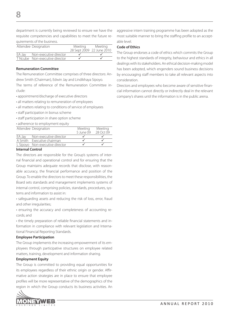department is currently being reviewed to ensure we have the requisite competencies and capabilities to meet the future requirements of the business.

|        | Attendee Designation           | Meeting | Meeting                   |
|--------|--------------------------------|---------|---------------------------|
|        |                                |         | 28 Sept 2009 22 June 2010 |
| EA Jay | Non-executive director         |         |                           |
|        | T Ncube Non-executive director |         |                           |
|        |                                |         |                           |

#### **Remuneration Committee**

The Remuneration Committee comprises of three directors: Andrew Smith (Chairman), Edwin Jay and Lindikhaya Sipoyo.

The terms of reference of the Remuneration Committee include:

- appointment/discharge of executive directors
- all matters relating to remuneration of employees
- all matters relating to conditions of service of employees
- staff participation in bonus scheme
- staff participation in share option scheme
- adherence to employment equity

|        | Attendee Designation            | Meeting   | Meeting   |
|--------|---------------------------------|-----------|-----------|
|        |                                 | 5 June 09 | 28 Oct 09 |
| EA Jay | Non-executive director          |           |           |
|        | A Smith Executive chairman      |           |           |
|        | L Sipoyo Non-executive director |           |           |

#### **Internal Control**

The directors are responsible for the Group's systems of internal financial and operational control and for ensuring that the Group maintains adequate records that disclose, with reasonable accuracy, the financial performance and position of the Group. To enable the directors to meet these responsibilities, the Board sets standards and management implements systems of internal control, comprising policies, standards, procedures, systems and information to assist in:

• safeguarding assets and reducing the risk of loss, error, fraud and other irregularities;

• ensuring the accuracy and completeness of accounting records; and

• the timely preparation of reliable financial statements and information in compliance with relevant legislation and International Financial Reporting Standards.

#### **Employee Participation**

The Group implements the increasing empowerment of its employees through participative structures on employee related matters, training, development and information sharing.

#### **Employment Equity**

The Group is committed to providing equal opportunities for its employees regardless of their ethnic origin or gender. Affirmative action strategies are in place to ensure that employee profiles will be more representative of the demographics of the region in which the Group conducts its business activities. An



aggressive intern training programme has been adopted as the most suitable manner to bring the staffing profile to an acceptable level.

#### **Code of Ethics**

The Group endorses a code of ethics which commits the Group to the highest standards of integrity, behaviour and ethics in all dealings with its stakeholders. An ethical decision-making model has been adopted, which engenders sound business decisions by encouraging staff members to take all relevant aspects into consideration.

Directors and employees who become aware of sensitive financial information cannot directly or indirectly deal in the relevant company's shares until the information is in the public arena.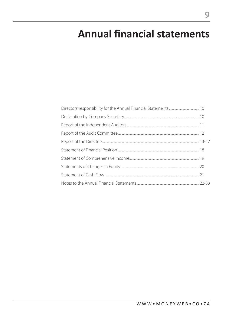# **Annual financial statements**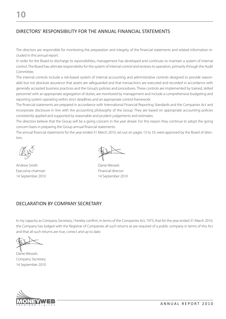## DIRECTORS' RESPONSIBILITY FOR THE ANNUAL FINANCIAL STATEMENTS

The directors are responsible for monitoring the preparation and integrity of the financial statements and related information included in this annual report.

In order for the Board to discharge its reponsibilities, management has developed and continues to maintain a system of internal control. The Board has ultimate responsibility for the system of internal control and reviews its operation, primarily through the Audit Committee.

The internal controls include a risk-based system of internal accounting and administrative controls designed to provide reasonable but not absolute assurance that assets are safeguarded and that transactions are executed and recorded in accordance with generally accepted business practices and the Group's policies and procedures. These controls are implemented by trained, skilled personnel with an appropriate segregation of duties, are monitored by management and include a comprehensive budgeting and reporting system operating within strict deadlines and an appropriate control framework.

The financial statements are prepared in accordance with International Financial Reporting Standards and the Companies Act and incorporate disclosure in line with the accounting philosophy of the Group. They are based on appropriate accounting policies consistently applied and supported by reasonable and prudent judgements and estimates.

The directors believe that the Group will be a going concern in the year ahead. For this reason they continue to adopt the going concern basis in preparing the Group annual financial statements.

The annual financial statements for the year ended 31 March 2010, set out on pages 13 to 33, were approved by the Board of directors.

Andrew Smith **Danie Wessels** Executive chairman Financial director 14 September 2010 14 September 2010

## DECLARATION BY COMPANY SECRETARY

In my capacity as Company Secretary, I hereby confirm, in terms of the Companies Act, 1973, that for the year ended 31 March 2010, the Company has lodged with the Registrar of Companies all such returns as are required of a public company in terms of this Act and that all such returns are true, correct and up to date.

Danie Wessels Company Secretary 14 September 2010

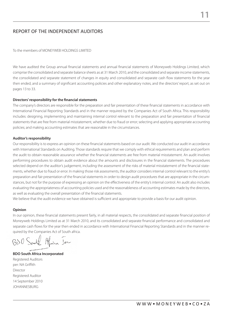## REPORT OF THE INDEPENDENT AUDITORS

To the members of MONEYWEB HOLDINGS LIMITED

We have audited the Group annual financial statements and annual financial statements of Moneyweb Holdings Limited, which comprise the consolidated and separate balance sheets as at 31 March 2010, and the consolidated and separate income statements, the consolidated and separate statement of changes in equity and consolidated and separate cash flow statements for the year then ended, and a summary of significant accounting policies and other explanatory notes, and the directors' report, as set out on pages 13 to 33.

#### **Directors' responsibility for the financial statements**

The company's directors are responsible for the preparation and fair presentation of these financial statements in accordance with International Financial Reporting Standards and in the manner required by the Companies Act of South Africa. This responsibility includes: designing, implementing and maintaining internal control relevant to the preparation and fair presentation of financial statements that are free from material misstatement, whether due to fraud or error; selecting and applying appropriate accounting policies; and making accounting estimates that are reasonable in the circumstances.

#### **Auditor's responsibility**

Our responsibility is to express an opinion on these financial statements based on our audit. We conducted our audit in accordance with International Standards on Auditing. Those standards require that we comply with ethical requirements and plan and perform the audit to obtain reasonable assurance whether the financial statements are free from material misstatement. An audit involves performing procedures to obtain audit evidence about the amounts and disclosures in the financial statements. The procedures selected depend on the auditor's judgement, including the assessment of the risks of material misstatement of the financial statements, whether due to fraud or error. In making those risk assessments, the auditor considers internal control relevant to the entity's preparation and fair presentation of the financial statements in order to design audit procedures that are appropriate in the circumstances, but not for the purpose of expressing an opinion on the effectiveness of the entity's internal control. An audit also includes evaluating the appropriateness of accounting policies used and the reasonableness of accounting estimates made by the directors, as well as evaluating the overall presentation of the financial statements.

We believe that the audit evidence we have obtained is sufficient and appropriate to provide a basis for our audit opinion.

#### **Opinion**

In our opinion, these financial statements present fairly, in all material respects, the consolidated and separate financial position of Moneyweb Holdings Limited as at 31 March 2010, and its consolidated and separate financial performance and consolidated and separate cash flows for the year then ended in accordance with International Financial Reporting Standards and in the manner required by the Companies Act of South africa.

Africa Inc

**BDO South Africa Incorporated** Registered Auditors per: NA Griffith Director Registered Auditor 14 September 2010 JOHANNESBURG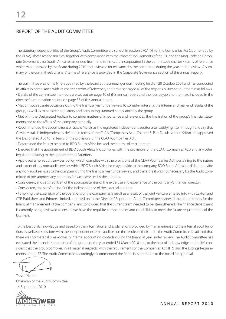## REPORT OF THE AUDIT COMMITTEE

The statutory responsibilities of the Group's Audit Committee are set out in section 270A(i)(f ) of the Companies Act (as amended by the CLAA). These responsibilities, together with compliance with the relevant requirements of the JSE and the King Code on Corporate Governance for South Africa, as amended from time to time, are incorporated in the committee's charter / terms of reference which was approved by the Board during 2010 and reviewed for relevance by the committee during the year ended review. A summary of the committee's charter / terms of reference is provided in the Corporate Governance section of this annual report).

The committee was formally re-appointed by the Board at the annual general meeting held on 28 October 2009 and has conducted its affairs in compliance with its charter / terms of reference, and has discharged all of the responsibilities set out therein as follows: • Details of the committee members are set out on page 10 of this annual report and the fees payable to them are included in the directors' remuneration set out on page 33 of this annual report.

• Met on two separate occasions during the financial year under review to consider, inter alia, the interim and year-end results of the group, as well as to consider regulatory and accounting standard compliance by the group.

• Met with the Designated Auditor to consider matters of importance and relevant to the finalisation of the group's financial statements and to the affairs of the company generally.

• Recommended the appointment of Gawie Marais as the registered independent auditor after satisfying itself through enquiry that Gawie Marais is independent as defined in terms of the CLAA (Companies Act - Chapter 3, Part D, sub-section 94(8)) and approved the Designated Auditor in terms of the provisions of the CLAA (Companies Act).

• Determined the fees to be paid to BDO South Africa Inc, and their terms of engagement.

• Ensured that the appointment of BDO South Africa Inc complies with the provisions of the CLAA (Companies Act) and any other legislation relating to the appointment of auditors.

• Approved a non-audit services policy, which complies with the provisions of the CLAA (Companies Act) pertaining to the nature and extent of any non-audit services which BDO South Africa Inc may provide to the company. BDO South Africa Inc did not provide any non-audit services to the company during the financial year under review and therefore it was not necessary for the Audit Committee to pre-approve any contracts for such services by the auditors.

• Considered, and satisfied itself of the appropriateness of the expertise and experience of the company's financial director.

• Considered, and satisfied itself of the independence of the external auditors.

• Following the expansion of the operations of the company as a result as a result of the joint venture entered into with Caxton and CTP Publishers and Printers Limited, reported on in the Directors' Report, the Audit Committee reviewed the requirements for the financial management of the company, and concluded that the current team needed to be strengthened. The finance department is currently being reviewed to ensure we have the requisite competencies and capabilities to meet the future requirements of the business.

To the best of its knowledge and based on the information and explanations provided by management and the internal audit function, as well as discussions with the independent external auditors on the results of their audit, the Audit Committee is satisfied that there was no material breakdown in internal accounting controls during the financial year under review. The Audit Committee has evaluated the financial statements of the group for the year ended 31 March 2010 and, to the best of its knowledge and belief, considers that the group complies, in all material respects, with the requirements of the Companies Act, IFRS and the Listings Requirements of the JSE. The Audit Committee accordingly recommended the financial statements to the board for approval.

Trevor Ncube Chairman of the Audit Committee 14 September 2010

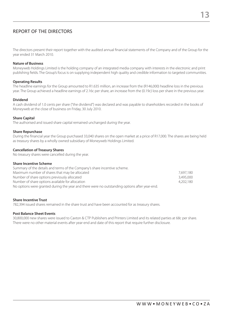## REPORT OF THE DIRECTORS

The directors present their report together with the audited annual financial statements of the Company and of the Group for the year ended 31 March 2010.

#### **Nature of Business**

Moneyweb Holdings Limited is the holding company of an integrated media company with interests in the electronic and print publishing fields. The Group's focus is on supplying independent high quality and credible information to targeted communities.

#### **Operating Results**

The headline earnings for the Group amounted to R1.635 million, an increase from the (R146,000) headline loss in the previous year. The Group achieved a headline earnings of 2.16c per share, an increase from the (0.19c) loss per share in the previous year.

#### **Dividend**

A cash dividend of 1.0 cents per share ("the dividend") was declared and was payable to shareholders recorded in the books of Moneyweb at the close of business on Friday, 30 July 2010.

#### **Share Capital**

The authorised and issued share capital remained unchanged during the year.

#### **Share Repurchase**

During the financial year the Group purchased 33,040 shares on the open market at a price of R17,000. The shares are being held as treasury shares by a wholly owned subsidiary of Moneyweb Holdings Limited.

#### **Cancellation of Treasury Shares**

No treasury shares were cancelled during the year.

#### **Share Incentive Scheme**

| Summary of the details and terms of the Company's share incentive scheme.                     |           |
|-----------------------------------------------------------------------------------------------|-----------|
| Maximum number of shares that may be allocated                                                | 7.697.180 |
| Number of share options previously allocated                                                  | 3,495,000 |
| Number of share options available for allocation                                              | 4,202,180 |
| No options were granted during the year and there were no outstanding options after year-end. |           |

#### **Share Incentive Trust**

782,394 issued shares remained in the share trust and have been accounted for as treasury shares.

#### **Post Balance Sheet Events**

30,800,000 new shares were issued to Caxton & CTP Publishers and Printers Limited and its related parties at 68c per share. There were no other material events after year-end and date of this report that require further disclosure.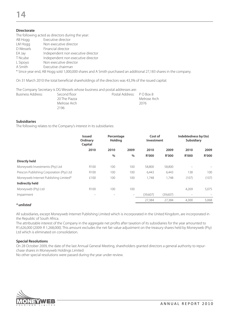#### **Directorate**

|           | The following acted as directors during the year: |
|-----------|---------------------------------------------------|
| AB Hogg   | Executive director                                |
| LM Hogg   | Non executive director                            |
| D Wessels | Financial director                                |
| EA Jay    | Independent non executive director                |
| T Ncube   | Independent non executive director                |
| L Sipoyo  | Non executive director                            |
| A Smith   | Executive chairman                                |
|           |                                                   |

\* Since year end, AB Hogg sold 1,000,000 shares and A Smith purchased an additional 27,183 shares in the company.

On 31 March 2010 the total beneficial shareholdings of the directors was 43,3% of the issued capital.

|                   | The Company Secretary is DG Wessels whose business and postal addresses are: |                          |              |
|-------------------|------------------------------------------------------------------------------|--------------------------|--------------|
| Business Address: | Second floor<br>20 The Piazza                                                | Postal Address: PO Box 8 | Melrose Arch |
|                   | Melrose Arch                                                                 |                          | 2076         |
|                   | 2196                                                                         |                          |              |

#### **Subsidiaries**

The following relates to the Company's interest in its subsidiaries:

|                                          | <b>Issued</b><br>Ordinary<br>Capital | Percentage<br><b>Holding</b> |                          | Cost of<br>Investment |          | Indebtedness by/(to)<br><b>Subsidiary</b> |              |
|------------------------------------------|--------------------------------------|------------------------------|--------------------------|-----------------------|----------|-------------------------------------------|--------------|
|                                          | 2010                                 | 2010                         | 2009                     | 2010                  | 2009     | 2010                                      | 2009         |
|                                          |                                      | $\%$                         | $\%$                     | R'000                 | R'000    | <b>R'000</b>                              | <b>R'000</b> |
| <b>Directly held</b>                     |                                      |                              |                          |                       |          |                                           |              |
| Moneyweb Investments (Pty) Ltd           | R <sub>100</sub>                     | 100                          | 100                      | 58,800                | 58,800   |                                           |              |
| Prescon Publishing Corporation (Pty) Ltd | R <sub>100</sub>                     | 100                          | 100                      | 6,443                 | 6,443    | 138                                       | 100          |
| Moneyweb Internet Publishing Limited*    | £100                                 | 100                          | 100                      | 1.748                 | 1,748    | (107)                                     | (107)        |
| Indirectly held                          |                                      |                              |                          |                       |          |                                           |              |
| Moneyweb (Pty) Ltd                       | R <sub>100</sub>                     | 100                          | 100                      |                       |          | 4,269                                     | 5,075        |
| Impairment                               |                                      | -                            | $\overline{\phantom{m}}$ | (39,607)              | (39,607) | $\qquad \qquad$                           |              |
|                                          |                                      |                              |                          | 27.384                | 27.384   | 4,300                                     | 5,068        |

#### *\* unlisted*

All subsidiaries, except Moneyweb Internet Publishing Limited which is incorporated in the United Kingdom, are incorporated in the Republic of South Africa.

The attributable interest of the Company in the aggregate net profits after taxation of its subsidiaries for the year amounted to R1,626,000 (2009: R 1,268,000). This amount excludes the net fair value adjustment on the treasury shares held by Moneyweb (Pty) Ltd which is eliminated on consolidation.

#### **Special Resolutions**

On 28 October 2009, the date of the last Annual General Meeting, shareholders granted directors a general authority to repurchase shares in Moneyweb Holdings Limited

No other special resolutions were passed during the year under review.

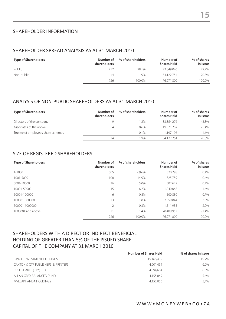### SHAREHOLDER INFORMATION

### SHAREHOLDER SPREAD ANALYSIS AS AT 31 MARCH 2010

| <b>Type of Shareholders</b> | Number of<br>shareholders | % of shareholders | Number of<br><b>Shares Held</b> | % of shares<br>in issue |
|-----------------------------|---------------------------|-------------------|---------------------------------|-------------------------|
| Public                      | 712                       | 98.1%             | 22,849,046                      | 29.7%                   |
| Non-public                  | 14                        | 1.9%              | 54.122.754                      | 70.3%                   |
|                             | 726                       | 100.0%            | 76,971,800                      | 100.0%                  |

### ANALYSIS OF NON-PUBLIC SHAREHOLDERS AS AT 31 MARCH 2010

| <b>Type of Shareholders</b>         | Number of<br>shareholders | % of shareholders | Number of<br><b>Shares Held</b> | % of shares<br>in issue |
|-------------------------------------|---------------------------|-------------------|---------------------------------|-------------------------|
| Directors of the company            | Q                         | $1.2\%$           | 33,354,276                      | 43.3%                   |
| Associates of the above             | $\Delta$                  | 0.6%              | 19.571.282                      | 25.4%                   |
| Trustee of employees' share schemes |                           | $0.1\%$           | 1.197.196                       | 1.6%                    |
|                                     | 14                        | $.9\%$            | 54,122,754                      | 70.3%                   |

### SIZE OF REGISTERED SHAREHOLDERS

| <b>Type of Shareholders</b> | Number of<br>shareholders | % of shareholders | Number of<br><b>Shares Held</b> | % of shares<br>in issue |
|-----------------------------|---------------------------|-------------------|---------------------------------|-------------------------|
| $1 - 1000$                  | 505                       | 69.6%             | 320,798                         | $0.4\%$                 |
| 1001-5000                   | 108                       | 14.9%             | 325,759                         | $0.4\%$                 |
| 5001-10000                  | 36                        | 5.0%              | 302,629                         | $0.4\%$                 |
| 10001-50000                 | 45                        | 6.2%              | 1,040,048                       | 1.4%                    |
| 50001-100000                | 6                         | 0.8%              | 500,830                         | $0.7\%$                 |
| 100001-500000               | 13                        | 1.8%              | 2,559,844                       | 3.3%                    |
| 500001-1000000              | 2                         | 0.3%              | 1,511,935                       | 2.0%                    |
| 1000001 and above           | 11                        | 1.4%              | 70,409,957                      | 91.4%                   |
|                             | 726                       | 100.0%            | 76,971,800                      | 100.0%                  |

## SHAREHOLDERS WITH A DIRECT OR INDIRECT BENEFICIAL HOLDING OF GREATER THAN 5% OF THE ISSUED SHARE CAPITAL OF THE COMPANY AT 31 MARCH 2010

|                                    | <b>Number of Shares Held</b> | % of shares in issue |
|------------------------------------|------------------------------|----------------------|
| ISINGQI INVESTMENT HOLDINGS        | 15,168,432                   | 19.7%                |
| CAXTON & CTP PUBLISHERS & PRINTERS | 4.601.454                    | 6.0%                 |
| <b>BUFF SHARES (PTY) LTD</b>       | 4.594.654                    | 6.0%                 |
| ALLAN GRAY BALANCED FUND           | 4.155.049                    | 5.4%                 |
| MVELAPHANDA HOLDINGS               | 4,152,000                    | 5,4%                 |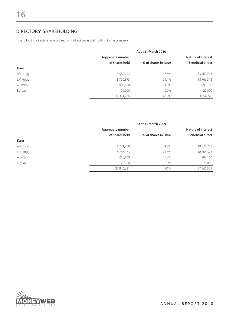## DIRECTORS' SHAREHOLDING

The following directors have a direct or indirect beneficial holding in the company

|               |                  | As at 31 March 2010  |                           |
|---------------|------------------|----------------------|---------------------------|
|               | Aggregate number |                      | <b>Nature of Interest</b> |
|               | of shares held   | % of shares in issue | <b>Beneficial direct</b>  |
| <b>Direct</b> |                  |                      |                           |
| AB Hogg       | 13,569,743       | 17.6%                | 13,569,743                |
| LM Hogg       | 18,766,373       | 24.4%                | 18,766,373                |
| A Smith       | 998,160          | $.3\%$               | 998,160                   |
| E A Jay       | 20,000           | $0.0\%$              | 20,000                    |
|               | 33,354,276       | 43.3%                | 33,354,276                |

|               | As at 31 March 2009 |                      |                           |  |  |
|---------------|---------------------|----------------------|---------------------------|--|--|
|               | Aggregate number    |                      | <b>Nature of Interest</b> |  |  |
|               | of shares held      | % of shares in issue | <b>Beneficial direct</b>  |  |  |
| <b>Direct</b> |                     |                      |                           |  |  |
| AB Hogg       | 18,771,788          | 24.4%                | 18,771,788                |  |  |
| LM Hogg       | 18,766,373          | 24.4%                | 18,766,373                |  |  |
| A Smith       | 288,160             | 0.3%                 | 288,160                   |  |  |
| E A Jay       | 20,000              | $0.0\%$              | 20,000                    |  |  |
|               | 37,846,321          | 49.1%                | 37,846,321                |  |  |

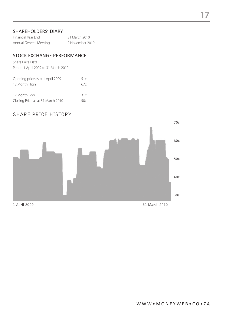## SHAREHOLDERS' DIARY

| Financial Year End     | 31 March 2010   |
|------------------------|-----------------|
| Annual General Meeting | 2 November 2010 |

### STOCK EXCHANGE PERFORMANCE

| Share Price Data                     |
|--------------------------------------|
| Period 1 April 2009 to 31 March 2010 |

| Opening price as at 1 April 2009  | 51c |
|-----------------------------------|-----|
| 12 Month High                     | 67c |
|                                   |     |
| 12 Month Low                      | 31c |
| Closing Price as at 31 March 2010 | 50c |

## SHARE PRICE HISTORY

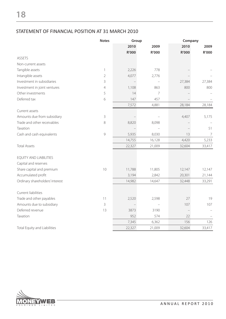### STATEMENT OF FINANCIAL POSITION AT 31 MARCH 2010

|                                 | <b>Notes</b>   | Group  |                | Company      |              |
|---------------------------------|----------------|--------|----------------|--------------|--------------|
|                                 |                | 2010   | 2009           | 2010         | 2009         |
|                                 |                | R'000  | <b>R'000</b>   | <b>R'000</b> | <b>R'000</b> |
| <b>ASSETS</b>                   |                |        |                |              |              |
| Non-current assets              |                |        |                |              |              |
| Tangible assets                 | $\mathbf{1}$   | 2,226  | 778            |              |              |
| Intangible assets               | $\overline{2}$ | 4,077  | 2,776          |              |              |
| Investment in subsidiaries      | 3              |        |                | 27,384       | 27,384       |
| Investment in joint ventures    | $\overline{4}$ | 1,108  | 863            | 800          | 800          |
| Other investments               | 5              | 14     | $\overline{7}$ |              |              |
| Deferred tax                    | 6              | 147    | 457            |              |              |
|                                 |                | 7,572  | 4,881          | 28,184       | 28,184       |
| Current assets                  |                |        |                |              |              |
| Amounts due from subsidiary     | 3              |        |                | 4,407        | 5,175        |
| Trade and other receivables     | 8              | 8,820  | 8,098          |              |              |
| Taxation                        |                |        |                |              | 51           |
| Cash and cash equivalents       | 9              | 5,935  | 8,030          | 13           | 7            |
|                                 |                | 14,755 | 16,128         | 4,420        | 5,233        |
| <b>Total Assets</b>             |                | 22,327 | 21,009         | 32,604       | 33,417       |
| <b>EQUITY AND LIABILITIES</b>   |                |        |                |              |              |
| Capital and reserves            |                |        |                |              |              |
| Share capital and premium       | 10             | 11,788 | 11,805         | 12,147       | 12,147       |
| Accumulated profit              |                | 3,194  | 2,842          | 20,301       | 21,144       |
| Ordinary shareholders' interest |                | 14,982 | 14,647         | 32,448       | 33,291       |
|                                 |                |        |                |              |              |
| Current liabilities             |                |        |                |              |              |
| Trade and other payables        | 11             | 2,520  | 2,598          | 27           | 19           |
| Amounts due to subsidiary       | 3              |        |                | 107          | 107          |
| Deferred revenue                | 13             | 3873   | 3190           |              |              |
| Taxation                        |                | 952    | 574            | 22           |              |
|                                 |                | 7,345  | 6,362          | 156          | 126          |
| Total Equity and Liabilities    |                | 22,327 | 21,009         | 32,604       | 33,417       |

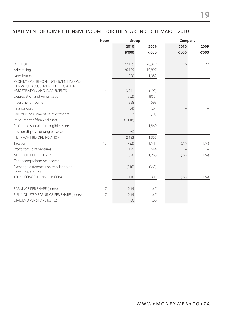## STATEMENT OF COMPREHENSIVE INCOME FOR THE YEAR ENDED 31 MARCH 2010

|                                                                                 | <b>Notes</b> | Group        |              | Company      |              |
|---------------------------------------------------------------------------------|--------------|--------------|--------------|--------------|--------------|
|                                                                                 |              | 2010         | 2009         | 2010         | 2009         |
|                                                                                 |              | <b>R'000</b> | <b>R'000</b> | <b>R'000</b> | <b>R'000</b> |
| <b>REVENUE</b>                                                                  |              | 27,159       | 20,979       | 76           | 72           |
| Advertising                                                                     |              | 26,159       | 19,897       |              |              |
| Newsletters                                                                     |              | 1,000        | 1,082        |              |              |
| PROFIT/(LOSS) BEFORE INVESTMENT INCOME,<br>FAIR VALUE ADJUSTMENT, DEPRECIATION, |              |              |              |              |              |
| AMORTISATION AND IMPAIRMENTS                                                    | 14           | 3,941        | (199)        |              |              |
| Depreciation and Amortisation                                                   |              | (962)        | (856)        |              |              |
| Investment income                                                               |              | 358          | 598          |              |              |
| Finance cost                                                                    |              | (34)         | (27)         |              |              |
| Fair value adjustment of investments                                            |              | 7            | (11)         |              |              |
| Impairment of financial asset                                                   |              | (1, 118)     |              |              |              |
| Profit on disposal of intangible assets                                         |              |              | 1,860        |              |              |
| Loss on disposal of tangible asset                                              |              | (9)          |              |              |              |
| NET PROFIT BEFORE TAXATION                                                      |              | 2,183        | 1,365        |              |              |
| Taxation                                                                        | 15           | (732)        | (741)        | (77)         | (174)        |
| Profit from joint ventures                                                      |              | 175          | 644          |              |              |
| NET PROFIT FOR THE YEAR                                                         |              | 1,626        | 1,268        | (77)         | (174)        |
| Other comprehensive income                                                      |              |              |              |              |              |
| Exchange differences on translation of<br>foreign operations                    |              | (516)        | (363)        |              |              |
| TOTAL COMPREHENSIVE INCOME                                                      |              | 1,110        | 905          | (77)         | (174)        |
| <b>EARNINGS PER SHARE (cents)</b>                                               | 17           | 2.15         | 1.67         |              |              |
| FULLY DILUTED EARNINGS PER SHARE (cents)                                        | 17           | 2.15         | 1.67         |              |              |
| DIVIDEND PER SHARE (cents)                                                      |              | 1.00         | 1.00         |              |              |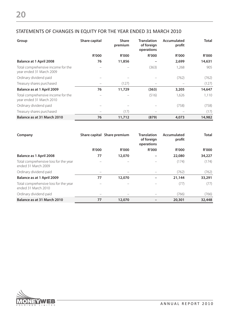## STATEMENTS OF CHANGES IN EQUITY FOR THE YEAR ENDED 31 MARCH 2010

| Group                                                          | Share capital | <b>Share</b><br>premium  | <b>Translation</b><br>of foreign<br>operations | Accumulated<br>profit | <b>Total</b> |
|----------------------------------------------------------------|---------------|--------------------------|------------------------------------------------|-----------------------|--------------|
|                                                                | <b>R'000</b>  | <b>R'000</b>             | <b>R'000</b>                                   | <b>R'000</b>          | <b>R'000</b> |
| <b>Balance at 1 April 2008</b>                                 | 76            | 11,856                   |                                                | 2,699                 | 14,631       |
| Total comprehensive income for the<br>year ended 31 March 2009 |               |                          | (363)                                          | 1,268                 | 905          |
| Ordinary dividend paid                                         |               |                          |                                                | (762)                 | (762)        |
| Treasury shares purchased                                      |               | (127)                    |                                                |                       | (127)        |
| Balance as at 1 April 2009                                     | 76            | 11,729                   | (363)                                          | 3,205                 | 14,647       |
| Total comprehensive income for the<br>year ended 31 March 2010 |               | $\overline{\phantom{0}}$ | (516)                                          | 1,626                 | 1,110        |
| Ordinary dividend paid                                         |               |                          |                                                | (758)                 | (758)        |
| Treasury shares purchased                                      |               | (17)                     |                                                |                       | (17)         |
| Balance as at 31 March 2010                                    | 76            | 11,712                   | (879)                                          | 4,073                 | 14,982       |

| Company                                                      |              | Share capital Share premium | <b>Translation</b><br>of foreign<br>operations | Accumulated<br>profit | <b>Total</b> |
|--------------------------------------------------------------|--------------|-----------------------------|------------------------------------------------|-----------------------|--------------|
|                                                              | <b>R'000</b> | R'000                       | <b>R'000</b>                                   | R'000                 | <b>R'000</b> |
| Balance as 1 April 2008                                      | 77           | 12,070                      |                                                | 22,080                | 34,227       |
| Total comprehensive loss for the year<br>ended 31 March 2009 |              |                             |                                                | (174)                 | (174)        |
| Ordinary dividend paid                                       |              |                             |                                                | (762)                 | (762)        |
| Balance as at 1 April 2009                                   | 77           | 12,070                      |                                                | 21,144                | 33,291       |
| Total comprehensive loss for the year<br>ended 31 March 2010 |              |                             |                                                | (77)                  | (77)         |
| Ordinary dividend paid                                       |              |                             |                                                | (766)                 | (766)        |
| Balance as at 31 March 2010                                  | 77           | 12,070                      |                                                | 20,301                | 32,448       |

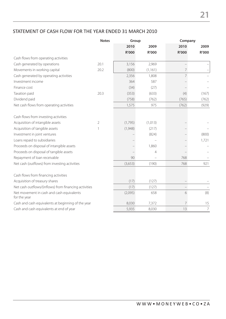## STATEMENT OF CASH FLOW FOR THE YEAR ENDED 31 MARCH 2010

|                                                           | <b>Notes</b>   | Group   |                | Company        |       |
|-----------------------------------------------------------|----------------|---------|----------------|----------------|-------|
|                                                           |                | 2010    | 2009           | 2010           | 2009  |
|                                                           |                | R'000   | <b>R'000</b>   | <b>R'000</b>   | R'000 |
| Cash flows from operating activities                      |                |         |                |                |       |
| Cash generated by operations                              | 20.1           | 3,156   | 2,969          |                |       |
| Movements in working capital                              | 20.2           | (800)   | (1, 161)       | $\overline{7}$ |       |
| Cash generated by operating activities                    |                | 2,356   | 1,808          | 7              |       |
| Investment income                                         |                | 364     | 587            |                |       |
| Finance cost                                              |                | (34)    | (27)           |                |       |
| Taxation paid                                             | 20.3           | (353)   | (633)          | (4)            | (167) |
| Dividend paid                                             |                | (758)   | (762)          | (765)          | (762) |
| Net cash flows from operating activities                  |                | 1,575   | 975            | (762)          | (929) |
| Cash flows from investing activities                      |                |         |                |                |       |
| Acquisition of intangible assets                          | $\overline{2}$ | (1,795) | (1,013)        |                |       |
| Acquisition of tangible assets                            |                | (1,948) | (217)          |                |       |
| Investment in joint ventures                              |                |         | (824)          |                | (800) |
| Loans repaid to subsidiaries                              |                |         |                |                | 1,721 |
| Proceeds on disposal of intangible assets                 |                |         | 1,860          |                |       |
| Proceeds on disposal of tangible assets                   |                |         | $\overline{4}$ |                |       |
| Repayment of loan receivable                              |                | 90      |                | 768            |       |
| Net cash (outflows) from investing activities             |                | (3,653) | (190)          | 768            | 921   |
| Cash flows from financing activities                      |                |         |                |                |       |
| Acquisition of treasury shares                            |                | (17)    | (127)          |                |       |
| Net cash outflows/(inflows) from financing activities     |                | (17)    | (127)          |                |       |
| Net movement in cash and cash equivalents<br>for the year |                | (2,095) | 658            | 6              | (8)   |
| Cash and cash equivalents at beginning of the year        |                | 8,030   | 7,372          | 7              | 15    |
| Cash and cash equivalents at end of year                  |                | 5,935   | 8,030          | 13             | 7     |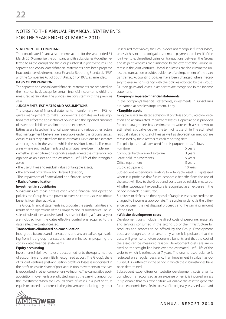## NOTES TO THE ANNUAL FINANCIAL STATEMENTS FOR THE YEAR ENDED 31 MARCH 2010

#### **Statement of compliance**

The consolidated financial statements at and for the year ended 31 March 2010 comprise the company and its subsidiaries (together referred to as the group) and the group's interest in joint ventures. The separate and consolidated financial statements have been prepared in accordance with International Financial Reporting Standards (IFRS) and the Companies Act of South Africa, 61 of 1973, as amended.

#### **BASIS OF PREPARATION**

The separate and consolidated financial statements are prepared on the historical basis except for certain financial instruments which are measured at fair value. The policies are consistent with the previous year.

#### **JUDGEMENTS, ESTIMATES AND ASSUMPTIONS**

The preparation of financial statements in conformity with IFRS requires management to make judgements, estimates and assumptions that affect the application of policies and the reported amounts of assets and liabilities and income and expenses.

Estimates are based on historical experience and various other factors that management believe are reasonable under the circumstances. Actual results may differ from these estimates. Revisions to estimates are recognised in the year in which the revision is made. The main areas where such judgements and estimates have been made are:

• Whether expenditure on intangible assets meets the criteria for recognition as an asset and the estimated useful life of the intangible asset;

- The useful lives and residual values of tangible assets;
- The amount of taxation and deferred taxation;
- The impairment of financial and non-financial assets.

#### **• Basis of consolidation**

#### **Investment in subsidiaries**

Subsidiaries are those entities over whose financial and operating policies the Group has the power to exercise control, so as to obtain benefits from their activities.

The Group financial statements incorporate the assets, liabilities and results of the operations of the Company and its subsidiaries. The results of subsidiaries acquired and disposed of during a financial year are included from the dates effective control was acquired to the dates effective control ceased.

#### **Transactions eliminated on consolidation**

Intra-group balances and transactions, and any unrealised gains arising from intra-group transactions, are eliminated in preparing the consolidated financial statements.

#### **Equity accounting**

Investments in joint ventures are accounted for by the equity method of accounting and are initially recognised at cost. The Group's share of its joint ventures post-acquisition profits or losses is recognised in the profit or loss; its share of post-acquisition movements in reserves is recognised in other comprehensive income. The cumulative postacquisition movements are adjusted against the carrying amount of the investment. When the Group's share of losses in a joint venture equals or exceeds its interest in the joint venture, including any other



unsecured receivables, the Group does not recognise further losses, unless it has incurred obligations or made payments on behalf of the joint venture. Unrealised gains on transactions between the Group and its joint ventures are eliminated to the extent of the Group's interest in the joint ventures. Unrealised losses are also eliminated unless the transaction provides evidence of an impairment of the asset transferred. Accounting policies have been changed where necessary to ensure consistency with the policies adopted by the Group. Dilution gains and losses in associates are recognised in the income statement.

#### **Company's separate financial statements**

In the company's financial statements, investments in subsidiaries are carried at cost less impairment, if any.

#### **• Tangible assets**

Tangible assets are stated at historical cost less accumulated depreciation and accumulated impairment losses. Depreciation is provided for on a straight line basis estimated to write each asset down to estimated residual value over the term of its useful life. The estimated residual values and useful lives as well as depreciation method are reassessed by the directors at each reporting date.

The principal annual rates used for this purpose are as follows:

| Furniture                      | 5 years  |
|--------------------------------|----------|
| Computer hardware and software | 3 years  |
| Lease hold improvements        | 5 years  |
| Office equipment               | 5 years  |
| Studio equipment               | 10 years |

Subsequent expenditure relating to a tangible asset is capitalised when it is probable that future economic benefits from the use of the asset will flow to the Group and costs can be reliably measured. All other subsequent expenditure is recognised as an expense in the period in which it is incurred.

Surpluses or deficits on the disposal of tangible assets are credited or charged to income as appropriate. The surplus or deficit is the difference between the net disposal proceeds and the carrying amount of the asset.

#### **• Website development costs**

Development costs include the direct costs of personnel, materials and services consumed in the setting up of the infrastructure for products and services to be offered by the Group. Development costs are recognised as an asset only when it is probable that the costs will give rise to future economic benefits and that the cost of the asset can be measured reliably. Development costs are amortised on the straight line basis over the estimated useful life of the website which is estimated at 7 years. The unamortised balance is reviewed on a regular basis and, if an impairment in value has occurred, it is written off in the period in which the circumstances have been determined.

Subsequent expenditure on website development costs after its completion is recognised as an expense when it is incurred unless it is probable that this expenditure will enable the asset to generate future economic benefits in excess of its originally assessed standard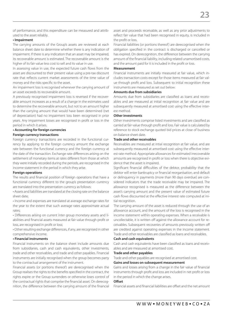of performance, and this expenditure can be measured and attributed to the asset reliably.

#### **• Impairment**

The carrying amounts of the Group's assets are reviewed at each balance sheet date to determine whether there is any indication of impairment. If there is any indication that an asset may be impaired, its recoverable amount is estimated. The recoverable amount is the higher of its fair value less cost to sell and its value in use.

In assessing value in use, the expected future cash flows from the asset are discounted to their present value using a pre-tax discount rate that reflects current market assessments of the time value of money and the risks specific to the asset.

An impairment loss is recognised whenever the carrying amount of an asset exceeds its recoverable amount.

A previously recognised impairment loss is reversed if the recoverable amount increases as a result of a change in the estimates used to determine the recoverable amount, but not to an amount higher than the carrying amount that would have been determined (net of depreciation) had no impairment loss been recognised in prior years. Any impairment losses are recognised in profit or loss in the period in which it arises.

#### **• Accounting for foreign currencies**

#### **Foreign currency transactions**

Foreign currency transactions are recorded in the functional currency by applying to the foreign currency amount the exchange rate between the functional currency and the foreign currency at the date of the transaction. Exchange rate differences arising on the settlement of monetary items at rates different from those at which they were initially recorded during the periods, are recognised in the income statement in the period in which they arise.

#### **Foreign operations**

The results and financial position of foreign operations that have a functional currency different to the group's presentation currency are translated into the presentation currency as follows:

• Assets and liabilities are translated at the closing rate on the balance sheet date;

• Income and expenses are translated at average exchange rates for the year to the extent that such average rates approximate actual rates;

• Differences arising on current inter group monetary assets and liabilities and financial assets measured at fair value through profit or loss, are recognised in profit or loss;

• Other resulting exchange differences, if any, are recognised in other comprehensive income.

#### **• Financial instruments**

Financial instruments on the balance sheet include amounts due from subsidiaries, cash and cash equivalents, other investments, trade and other receivables, and trade and other payables. Financial instruments are initially recognised when the group becomes party to the contractual arrangement of the instrument.

Financial assets (or portions thereof) are derecognised when the Group realises the rights to the benefits specified in the contract, the rights expire or the Group surrenders or otherwise loses control of the contractual rights that comprise the financial asset. On derecognition, the difference between the carrying amount of the financial asset and proceeds receivable, as well as any prior adjustments to reflect fair value that had been recognised in equity, is included in the profit or loss.

Financial liabilities (or portions thereof) are derecognised when the obligation specified in the contract is discharged or cancelled or has expired. On derecognition, the difference between the carrying amount of the financial liability, including related unamortised costs, and the amount paid for it is included in the profit or loss.

#### **Measurement**

Financial instruments are initially measured at fair value, which includes transaction costs except for those items measured at fair value through profit and loss. Subsequent to initial recognition these instruments are measured as set out below:

#### **Amounts due from subsidiaries**

Amounts due from subsidiaries are classified as loans and receivables and are measured at initial recognition at fair value and are subsequently measured at amortised cost using the effective interest method.

#### **Other investments**

Other investments comprise listed investments and are classified as carried at fair value through profit and loss. Fair value is calculated by reference to stock exchange quoted bid prices at close of business on balance sheet date.

#### **Trade and other receivables**

Receivables are measured at intial recognition at fair value, and are subsequently measured at amortised cost using the effective interest rate method. Appropriate allowances for estimated irrecoverable amounts are recognised in profit or loss when there is objective evidence that the asset is impaired.

Significant financial difficulties of the debtor, probability that the debtor will enter bankruptcy or financial reorganisation, and default or delinquency in payments (more than 90 days overdue) are considered indicators that the trade receivable may be impaired. The allowance recognised is measured as the difference between the asset's carrying amount and the present value of estimated future cash flows discounted at the effective interest rate computed at initial recognition.

The carrying amount of the asset is reduced through the use of an allowance account, and the amount of the loss is recognised in the income statement within operating expenses. When a receivable is uncollectable, it is written off against the allowance account for receivables. Subsequent recoveries of amounts previously written off are credited against operating expenses in the income statement. Trade and other receivables are classified as loans and receivables.

#### **Cash and cash equivalents**

Cash and cash equivalents have been classified as loans and receivables and are measured at amortised cost.

#### **Trade and other payables**

Trade and other payables are recognised at amortised cost.

#### **Gains and losses on subsequent measurement**

Gains and losses arising from a change in the fair value of financial instruments through profit and loss are included in net profit or loss in the period in which the change arises.

#### **Offset**

Financial assets and financial liabilities are offset and the net amount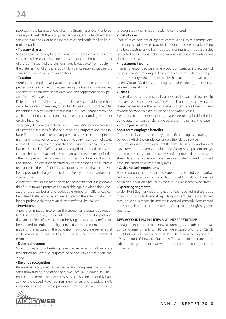reported in the balance sheet when the Group has a legally enforceable right to set off the recognised amounts, and intends either to settle on a net basis, or to realise the asset and settle the liability simultaneously.

#### **• Treasury shares**

Shares in the Company held by Group entities are classified as treasury shares. These shares are treated as a deduction from the number of shares in issue and the cost of shares is deducted from equity in the Statement of Changes in Equity. Dividends received on treasury shares are eliminated on consolidation.

#### **• Taxation**

Current tax comprises tax payable calculated on the basis of the expected taxable income for the year, using the tax rates substantively enacted at the balance sheet date, and any adjustment of tax payable for previous years.

Deferred tax is provided using the balance sheet liability method, on all temporary differences, other than those arising from the initial recognition of a transaction that is not a business combination and at the time of the transaction affects neither accounting profit nor taxable income.

Temporary differences are differences between the carrying amounts of assets and liabilities for financial reporting purposes and their tax base. The amount of deferred tax provided is based on the expected manner of realisation or settlement of the carrying amount of assets and liabilities using tax rates enacted or substantively enacted at the balance sheet date. Deferrred tax is charged to the profit or loss except to the extent that it relates to a transaction that is recognised in other comprehensive income, or a business combination that is an acquisition. The effect on deferred tax of any changes in tax rates is recognised in the profit or loss, except to the extent that it relates to items previously charged or credited directly in other comprehensive income.

A deferred tax asset is recognised to the extent that it is probable that future taxable profits will be available against which the associated unused tax losses and deductible temporary differences can be utilised. Deferred tax assets are reduced to the extent that it is no longer probable that the related tax benefit will be realised.

#### **• Provisions**

A provision is recognised when the Group has a present obligation (legal or constructive) as a result of a past event and it is probable that an outflow of resources embodying economic benefits will be required to settle the obligation, and a reliable estimate can be made of the amount of the obligation. Provisions are reviewed at each balance sheet date and are adjusted to reflect the current best estimate.

#### **• Deferred revenue**

Subscriptions and advertising revenues received in advance are recognised for revenue purposes once the service has been provided.

#### **• Revenue recognition**

Revenue is recognised at fair value and comprises the invoiced sales from trading operations and excludes value added tax. Revenue earned from advertisements is recognised on a monthly basis as they are placed. Revenue from newsletters and broadcasting is recognised as the service is provided. Commission on e-commerce



is recognised when the transaction is completed.

#### **• Cost of sales**

Cost of sales consists of agency commissions, sales commissions, content costs of services provided, production costs for advertising and broadcasting as well as the cost of mailing lists. The cost of sales of printed publications includes commissions, editorial, printing and distribution costs.

#### **• Investment income**

Interest is recognised on a time proportion basis, taking account of the principal outstanding and the effective interest rate over the period to maturity, when it is probable that such income will accrue to the Group. Dividends are recognised when the right to receive payment is established.

#### **• Leases**

Leases that transfer substantially all risks and rewards of ownership are classified as finance leases. The Group is not party to any finance leases. Leases where the lessor retains substantially all the risks and rewards of ownership are classified as operating leases.

Payments made under operating leases are recognised in the income statement on a straight-line basis over the term of the lease.

#### **• Employee benefits**

#### **Short term employee benefits**

The cost of all short term employee benefits is recognised during the period in which the employee renders the related service.

The provisions for employee entitlements to salaries and annual leave represent the amount which the Group has a present obligation to pay as a result of employees' services provided to the balance sheet date. The provisions have been calculated at undiscounted amounts based on current salary rates.

#### **• Cash and cash equivalents**

For the purpose of the cash flow statement, cash and cash equivalents comprise cash on hand and deposits held on call with banks, all of which are available for use by the Group unless otherwise stated.

#### **• Operating segments**

Under IFRS 8 Segment reporting has not been applied as the Group's focus is to provide financial reporting content that is distributed through various media. Its income is derived primarily from related advertising. The directors consider the Group to be a single segment business.

#### **NEW ACCOUNTING POLICIES AND INTERPRETATIONS**

Management considered all new accounting standards, interpretations and amendments to IFRS that were issued prior to 31 March 2010, but not yet effective on that date. The company adopted IAS1 - Presentation of Financial Standards. The standards that are applicable to the group, but that were not implemented early, are the following: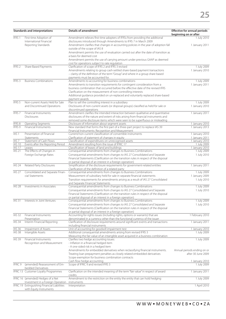| <b>Standards and interpretations</b><br><b>Details of amendment</b> |                                                                         |                                                                                                                                                                   | <b>Effective for annual periods</b><br>beginning on or after |
|---------------------------------------------------------------------|-------------------------------------------------------------------------|-------------------------------------------------------------------------------------------------------------------------------------------------------------------|--------------------------------------------------------------|
| IFRS <sub>1</sub>                                                   | First-time Adoption of<br>International Financial                       | Amendment relieves first-time adopters of IFRSs from providing the additional<br>disclosures introduced through Amendments to IFRS 7 in March 2009                | 1 July 2010                                                  |
|                                                                     | Reporting Standards                                                     | Amendment clarifies that changes in accounting policies in the year of adoption fall<br>outside of the scope of IAS 8                                             | 1 January 2011                                               |
|                                                                     |                                                                         | Amendment permits the use of revaluation carried out after the date of transition as<br>a basis for deemed cost                                                   |                                                              |
|                                                                     |                                                                         | Amendment permits the use of carrying amount under previous GAAP as deemed<br>cost for operations subject to rate regulation                                      |                                                              |
| IFRS 2                                                              | Share Based Payments                                                    | Clarification of scope of IFRS 2 and IFRS 3 revised                                                                                                               | 1 July 2009                                                  |
|                                                                     |                                                                         | Amendments relating to group cash-settled share-based payment transactions                                                                                        | 1 January 2010                                               |
|                                                                     |                                                                         | - clarity of the definition of the term "Group" and where in a group share based                                                                                  |                                                              |
| IFRS 3                                                              | <b>Business Combinations</b>                                            | payments must be accounted for.<br>Amendments to accounting for business combinations                                                                             | 1 July 2009                                                  |
|                                                                     |                                                                         | Amendments to transition requirements for contingent consideration from a                                                                                         | 1 January 2011                                               |
|                                                                     |                                                                         | business combination that occurred before the effective date of the revised IFRS                                                                                  |                                                              |
|                                                                     |                                                                         | Clarification on the measurement of non-controlling interests<br>Additional guidance provided on un-replaced and voluntarily replaced share-based                 |                                                              |
|                                                                     |                                                                         | payment awards                                                                                                                                                    |                                                              |
| IFRS 5                                                              | Non-current Assets Held for Sale                                        | Plan to sell the controlling interest in a subsidiary                                                                                                             | 1 July 2009                                                  |
|                                                                     | and Discontinued Operations                                             | Disclosures of non-current assets (or disposal groups) classified as held for sale or                                                                             | 1 January 2010                                               |
| IFRS <sub>7</sub>                                                   | Financial Instruments:                                                  | discontinued operations<br>Amendment clarifies the intended interaction between qualitative and quantitative                                                      | 1 January 2011                                               |
|                                                                     | <b>Disclosures</b>                                                      | disclosures of the nature and extent of risks arising from financial instruments and                                                                              |                                                              |
|                                                                     |                                                                         | removed some disclosure items which were seen to be superfluous or misleading                                                                                     |                                                              |
| IFRS 8                                                              | <b>Operating Segments</b>                                               | Disclosure of information about segment assets                                                                                                                    | 1 January 2010                                               |
| IFRS 9                                                              | Financial Instruments                                                   | New standard that forms the first part of a three-part project to replace IAS 39<br>Financial Instruments: Recognition and Measurement                            | 1 January 2013                                               |
| IAS <sub>1</sub>                                                    | Presentation of Financial                                               | Current/non-current classification of convertible instruments                                                                                                     | 1 January 2010                                               |
|                                                                     | Statements                                                              | Clarification of statement of changes in equity                                                                                                                   | 1 January 2011                                               |
| IAS <sub>7</sub>                                                    | <b>Statement of Cash Flows</b>                                          | Classification of expenditures on unrecognised assets                                                                                                             | 1 January 2010                                               |
| <b>IAS 10</b><br>IAS 17                                             | Events after the Reporting Period<br>Leases                             | Amendment resulting from the issue of IFRIC 17<br>Classification of leases of land and buildings                                                                  | 1 July 2009<br>1 January 2010                                |
| <b>IAS 21</b>                                                       | The Effects of Changes in                                               | Consequential amendments from changes to Business Combinations                                                                                                    | 1 July 2009                                                  |
|                                                                     | Foreign Exchange Rates                                                  | Consequential amendments from changes to IAS 27 Consolidated and Separate                                                                                         | 1 July 2010                                                  |
|                                                                     |                                                                         | Financial Statements (Clarification on the transition rules in respect of the disposal                                                                            |                                                              |
|                                                                     |                                                                         | or partial disposal of an interest in a foreign operation)                                                                                                        |                                                              |
| <b>IAS 24</b>                                                       | Related Party Disclosures                                               | Simplification of the disclosure requirements for government-related entities<br>Clarification of the definition of a related party                               | 1 January 2011                                               |
| IAS <sub>27</sub>                                                   | Consolidated and Separate Finan-                                        | Consequential amendments from changes to Business Combinations                                                                                                    | 1 July 2009                                                  |
|                                                                     | cial Statements                                                         | Measurement of subsidiary held for sale in separate financial statements                                                                                          | 1 January 2009                                               |
|                                                                     |                                                                         | Transition requirements for amendments arising as a result of IAS 27 Consolidated<br>and Separate Financial Statements                                            | 1 July 2010                                                  |
| <b>IAS 28</b>                                                       | Investments in Associates                                               | Consequential amendments from changes to Business Combinations                                                                                                    | 1 July 2009                                                  |
|                                                                     |                                                                         | Consequential amendments from changes to IAS 27 Consolidated and Separate                                                                                         | 1 July 2010                                                  |
|                                                                     |                                                                         | Financial Statements (Clarification on the transition rules in respect of the disposal                                                                            |                                                              |
| IAS <sub>31</sub>                                                   | Interests in Joint Ventures                                             | or partial disposal of an interest in a foreign operation)<br>Consequential amendments from changes to Business Combinations                                      | 1 July 2009                                                  |
|                                                                     |                                                                         | Consequential amendments from changes to IAS 27 Consolidated and Separate                                                                                         | 1 July 2010                                                  |
|                                                                     |                                                                         | Financial Statements (Clarification on the transition rules in respect of the disposal                                                                            |                                                              |
|                                                                     |                                                                         | or partial disposal of an interest in a foreign operation)                                                                                                        |                                                              |
| <b>IAS 32</b>                                                       | Financial Instruments:                                                  | Accounting for rights issues (including rights, options or warrants) that are                                                                                     | 1 February 2010                                              |
| <b>IAS 34</b>                                                       | Presentation<br>Interim Financial Reporting                             | denominated in a currency other than the functional currency of the issuer<br>Clarification of disclosure requirements around significant events and transactions | 1 January 2011                                               |
|                                                                     |                                                                         | including financial instruments                                                                                                                                   |                                                              |
| <b>IAS 36</b>                                                       | Impairment of Assets                                                    | Unit of accounting for goodwill impairment test                                                                                                                   | 1 January 2010                                               |
| <b>IAS 38</b>                                                       | Intangible Assets                                                       | Additional consequential amendments arising from revised IFRS 3                                                                                                   | 1 July 2009                                                  |
| <b>IAS 39</b>                                                       | Financial Instruments:                                                  | Measuring the fair value of an intangible asset acquired in a business combination<br>Clarifies two hedge accounting issues:                                      | 1 July 2009                                                  |
|                                                                     | Recognition and Measurement                                             | - Inflation in a financial hedged item                                                                                                                            |                                                              |
|                                                                     |                                                                         | - A one-sided risk in a hedged item                                                                                                                               |                                                              |
|                                                                     |                                                                         | Amendments for embedded derivatives when reclassifying financial instruments.                                                                                     | Annual periods ending on or                                  |
|                                                                     |                                                                         | Treating loan prepayment penalties as closely related embedded derivatives                                                                                        | after 30 June 2009                                           |
|                                                                     |                                                                         | Scope exemption for business combination contracts<br>Cash flow hedge accounting                                                                                  | 1 January 2010                                               |
| IFRIC 9                                                             | (amended) Reassessment of Em-                                           | Scope of IFRIC 9 and revised IFRS 3                                                                                                                               | 1 July 2009                                                  |
|                                                                     | bedded Derivatives                                                      |                                                                                                                                                                   |                                                              |
|                                                                     | IFRIC 13 Customer Loyalty Programmes                                    | Clarification on the intended meaning of the term "fair value" in respect of award<br>credits                                                                     | 1 January 2011                                               |
|                                                                     | IFRIC 16 (amended) Hedges of a Net                                      | Amendment to the restriction on the entity the entity that can hold hedging                                                                                       | 1 July 2009                                                  |
|                                                                     | Investment in a Foreign Operation                                       | instruments                                                                                                                                                       |                                                              |
|                                                                     | IFRIC 19 Extinguishing Financial Liabilities<br>with Equity Instruments | Interpretation                                                                                                                                                    | 1 April 2010                                                 |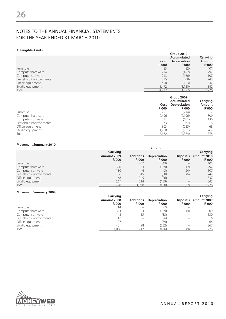## NOTES TO THE ANNUAL FINANCIAL STATEMENTS FOR THE YEAR ENDED 31 MARCH 2010

#### **1. Tangible Assets**

|                        |               | Group 2010                           |                             |  |  |
|------------------------|---------------|--------------------------------------|-----------------------------|--|--|
|                        | Cost<br>R'000 | Accumulated<br>Depreciation<br>R'000 | Carrying<br>Amount<br>R'000 |  |  |
| Furniture              | 483           | (82)                                 | 401                         |  |  |
| Computer hardware      | 714           | (422)                                | 292                         |  |  |
| Computer software      | 243           | (136)                                | 107                         |  |  |
| Leasehold improvements | 815           | (68)                                 | 747                         |  |  |
| Office equipment       | 490           | (153)                                | 337                         |  |  |
| Studio equipment       | .472          | (1, 130)                             | 342                         |  |  |
| Total                  | 4.217         | (1,927)                              | 2,226                       |  |  |

|                        | Cost<br>R'000 | Group 2009<br>Accumulated<br>Depreciation<br>R'000 | Carrying<br><b>Amount</b><br>R'000 |
|------------------------|---------------|----------------------------------------------------|------------------------------------|
| Furniture              | 221           | (214)                                              |                                    |
| Computer hardware      | 2,496         | (2,196)                                            | 300                                |
| Computer software      | 811           | (681)                                              | 130                                |
| Leasehold improvements | 73            | (67)                                               | 6                                  |
| Office equipment       | 303           | (235)                                              | 68                                 |
| Studio equipment       | 1.258         | (991)                                              | 267                                |
| Total                  | 5.162         | (4, 384)                                           | 778                                |

#### **Movement Summary 2010**

|                        | Group                       |                                  |                              |                          |                                |  |
|------------------------|-----------------------------|----------------------------------|------------------------------|--------------------------|--------------------------------|--|
|                        | Carrying                    |                                  |                              |                          | Carrying                       |  |
|                        | Amount 2009<br><b>R'000</b> | <b>Additions</b><br><b>R'000</b> | <b>Depreciation</b><br>R'000 | R'000                    | Disposals Amount 2010<br>R'000 |  |
| Furniture              |                             | 437                              | (43)                         |                          | 401                            |  |
| Computer hardware      | 300                         | 133                              | (139)                        | 2)                       | 292                            |  |
| Computer software      | 130                         | 4                                | (3)                          | (24)                     | 107                            |  |
| Leasehold improvements | 6                           | 815                              | (68)                         | (6)                      | 747                            |  |
| Office equipment       | 68                          | 345                              | (76)                         |                          | 337                            |  |
| Studio equipment       | 267                         | 214                              | 139)                         | $\overline{\phantom{a}}$ | 342                            |  |
| Total                  | 778                         | .948                             | (468)                        | (32                      | 2,226                          |  |

#### **Movement Summary 2009**

| Carrying                    |                                  |                       |       | Carrying                       |
|-----------------------------|----------------------------------|-----------------------|-------|--------------------------------|
| Amount 2008<br><b>R'000</b> | <b>Additions</b><br><b>R'000</b> | Depreciation<br>R'000 | R'000 | Disposals Amount 2009<br>R'000 |
|                             |                                  |                       |       |                                |
| 354                         | 104                              | (159)                 | (9)   | 300                            |
| 148                         | 5                                | (33)                  |       | 130                            |
|                             |                                  | (6)                   |       | 6                              |
| 107                         | $\overline{\phantom{a}}$         | (39)                  |       | 68                             |
| 40 <sup>°</sup>             | 98                               | (232)                 |       | 267                            |
| .036                        |                                  | (476)                 |       | 778                            |
|                             |                                  |                       |       |                                |

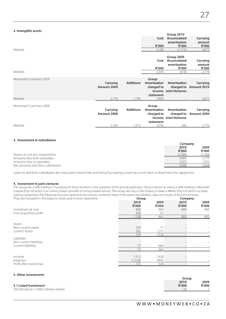#### **2. Intangible assets**

|                       |                         |                  |                                            | Group 2010                   |                         |
|-----------------------|-------------------------|------------------|--------------------------------------------|------------------------------|-------------------------|
|                       |                         |                  | Cost                                       | Accumulated                  | Carrying                |
|                       |                         |                  |                                            | amortisation                 | amount                  |
|                       |                         |                  | R'000                                      | R'000                        | R'000                   |
| Website               |                         |                  | 5,189                                      | (1.112)                      | 4,077                   |
|                       |                         |                  |                                            | Group 2009                   |                         |
|                       |                         |                  | Cost                                       | Accumulated                  | Carrying                |
|                       |                         |                  | R'000                                      | amortisation<br>R'000        | amount<br>R'000         |
| Website               |                         |                  | 3,394                                      | (618)                        | 2,776                   |
|                       |                         |                  |                                            |                              |                         |
| Movement Summary 2010 | Carrying<br>Amount 2009 | <b>Additions</b> | Group<br><b>Amortisation</b><br>charged to | Amortisation<br>charged to   | Carrying<br>Amount 2010 |
|                       |                         |                  |                                            | <b>Income Joint Ventures</b> |                         |
|                       |                         |                  | statement                                  |                              |                         |
| Website               | 2,776                   | 1,795            | (494)                                      |                              | 4,077                   |
|                       |                         |                  |                                            |                              |                         |
| Movement Summary 2009 |                         |                  | Group                                      |                              |                         |
|                       | Carrying                | <b>Additions</b> | Amortisation                               | Amortisation                 | Carrying                |
|                       | Amount 2008             |                  | charged to                                 | charged to                   | Amount 2009             |
|                       |                         |                  |                                            | <b>Income Joint Ventures</b> |                         |
|                       |                         |                  | statement                                  |                              |                         |
| Website               | 2,169                   | 1,013            | (376)                                      | (30)                         | 2,776                   |
|                       |                         |                  |                                            |                              |                         |

#### **3. Investment in subsidiaries**

|                                   |               | Company              |
|-----------------------------------|---------------|----------------------|
|                                   | 2010<br>R'000 | 2009<br><b>R'000</b> |
| Shares at cost less impairments   | 27.384        | ,7,384               |
| Amounts due from subsidiary       | 4.407         | 5.175                |
| Amounts due to subsidiary         | 107           | (107)                |
| Net amounts due from subsidiaries | 4.300         | 5,068                |

Loans to and from subsidiaries are unsecured, interest free and being fluctuating current accounts have no fixed terms for repayment.

#### **4. Investment in joint ventures**

The Group has a 50% holding in Tuscaloosa 45 (Pty) Ltd which is the publisher of the annual publication "SA at a Glance" as well as a 50% holding in Mineweb Canada (Pty) Ltd which is an online content provider of mining related articles. The Group also has a 33% holding in Make a Million (Pty) Ltd which is a share trading competition.The following amounts represents the Group's combined share of the assets and liabilities, sales and results of the joint ventures.<br>They are included in the balance sheet and income statement: **Group Gr** They are included in the balance sheet and income statement:

| $\overline{\phantom{a}}$ | 2010<br><b>R'000</b> | 2009<br>R'000 | 2010<br>R'000 | 2009<br><b>R'000</b> |
|--------------------------|----------------------|---------------|---------------|----------------------|
| Investment at cost       | 800                  | 800           | 800           | 800                  |
| Post-acquisition profit  | 308                  | 63            |               |                      |
|                          | 1.108                | 863           | 800           | 800                  |
| Assets                   |                      |               |               |                      |
| Non-current assets       | 254                  | 71            |               |                      |
| <b>Current Assets</b>    | 285                  | 1.257         |               |                      |
|                          | 539                  | 1,328         |               |                      |
| Liabilities              |                      |               |               |                      |
| Non-current liabilities  |                      |               |               |                      |
| Current liabilities      | 72                   | 664           |               |                      |
|                          |                      | 664           |               |                      |
|                          |                      |               |               |                      |
| Income                   | 1,513                | 1,638         |               |                      |
| Expenses                 | (1,338)              | (995)         |               |                      |
| Profit after income tax  | 175                  | 644           |               |                      |
|                          |                      |               |               |                      |

#### **5. Other Investments**

|                                        | Group |       |
|----------------------------------------|-------|-------|
|                                        | 2010  | 2009  |
| 5.1 Listed Investment                  | R'000 | R'000 |
| Old Mutual plc (1,000 ordinary shares) |       |       |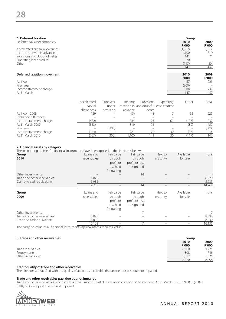| 6. Deferred taxation                                         |                   |            |                 |                                         |           | Group            |                      |
|--------------------------------------------------------------|-------------------|------------|-----------------|-----------------------------------------|-----------|------------------|----------------------|
| Deferred tax asset comprises:                                |                   |            |                 |                                         |           | 2010<br>R'000    | 2009<br>R'000        |
| Accelerated capital allowances<br>Income received in advance |                   |            |                 |                                         |           | (1,007)<br>1,100 | (353)<br>819         |
| Provisions and doubtful debts<br>Operating lease creditor    |                   |            |                 |                                         |           | 141<br>30        | 71                   |
| Other                                                        |                   |            |                 |                                         |           | (117)<br>147     | (80)<br>457          |
|                                                              |                   |            |                 |                                         |           |                  |                      |
| Deferred taxation movement                                   |                   |            |                 |                                         |           | 2010<br>R'000    | 2009<br><b>R'000</b> |
| At 1 April                                                   |                   |            |                 |                                         |           | 457              | 225                  |
| Prior year<br>Income statement charge                        |                   |            |                 |                                         |           | (300)<br>(10)    | 232                  |
| At 31 March                                                  |                   |            |                 |                                         |           | 147              | 457                  |
|                                                              | Accelerated       | Prior year | Income          | Provisions                              | Operating | Other            | Total                |
|                                                              | capital           | under      |                 | received in and doubtful lease creditor |           |                  |                      |
| At 1 April 2008                                              | allowances<br>129 | provision  | advance<br>(15) | debts<br>48                             |           | 53               | 225                  |
| Exchange differences<br>leases statesaste savas              | (107)             |            | 021             | าา                                      | (7)       | (122)            | つつつ                  |

| Income statement charge | 482   | $\overline{\phantom{a}}$ | 834                      | <u>_ _</u>               |                          | $\lambda$<br>--          | 232             |
|-------------------------|-------|--------------------------|--------------------------|--------------------------|--------------------------|--------------------------|-----------------|
| At 31 March 2009        | (353) | $\overline{\phantom{a}}$ | 819                      |                          | $\overline{\phantom{a}}$ | (80                      | 457             |
| Prior year              | -     | (300)                    | $\overline{\phantom{a}}$ | $\overline{\phantom{a}}$ | $\overline{\phantom{a}}$ | $\overline{\phantom{a}}$ | (300)           |
| Income statement charge | 354   | $\overline{\phantom{a}}$ | .28                      |                          | 30                       |                          | 10 <sup>°</sup> |
| At 31 March 2010        | 707   | 300                      | <sub>0</sub> C           |                          |                          |                          | $\Lambda^-$     |

#### **7. Financial assets by category**

The accounting policies for financial instruments have been applied to the line items below:

| Group<br>2010               | Loans and<br>receivables | Fair value<br>through<br>profit or<br>loss-held<br>for trading | Fair value<br>through<br>profit or loss<br>-designated | Held to<br>maturity | Available<br>for sale        | Total         |
|-----------------------------|--------------------------|----------------------------------------------------------------|--------------------------------------------------------|---------------------|------------------------------|---------------|
| Other investments           |                          |                                                                | 14                                                     |                     |                              | 14            |
| Trade and other receivables | 8,820                    |                                                                |                                                        |                     |                              | 8,820         |
| Cash and cash equivalents   | 5,935                    | $\qquad \qquad \blacksquare$                                   |                                                        |                     | $\qquad \qquad \blacksquare$ | 5,935         |
|                             | 14,755                   |                                                                | 14                                                     |                     |                              | 14,769        |
| Group<br>2009               | Loans and<br>receivables | Fair value<br>through<br>profit or<br>loss-held<br>for trading | Fair value<br>through<br>profit or loss<br>-designated | Held to<br>maturity | Available<br>for sale        | Total         |
| Other investments           |                          |                                                                |                                                        |                     |                              | 7             |
| Trade and other receivables | 8.098                    |                                                                |                                                        |                     |                              | 8,098         |
| Cash and cash equivalents   | 8,030                    |                                                                | -                                                      |                     | $\overline{\phantom{a}}$     | 8,030         |
|                             | 16,128                   |                                                                |                                                        |                     |                              | <u>16,135</u> |

The carrying value of all financial instruments approximates their fair value.

#### **8. Trade and other receivables Group**

| <u>o: Haac aha othch icccivamics</u> | $\sim$                  |       |
|--------------------------------------|-------------------------|-------|
|                                      | 2010                    | 2009  |
|                                      | R'000                   | R'000 |
| Trade receivables                    | 6,500                   | 5,725 |
| Prepayments                          | 808                     | 748   |
| Other receivables                    | $151^{\circ}$<br>$\sim$ | .625  |
|                                      | 8.820                   | 8,098 |

#### **Credit quality of trade and other receivables**

The directors are satisfied with the quality of accounts receivable that are neither past due nor impaired.

#### **Trade and other receivables past due but not impaired**

Trade and other receivables which are less than 3 months past due are not considered to be impaired. At 31 March 2010, R397,005 (2009: R284,291) were past due but not impaired.

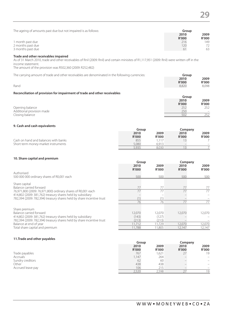The ageing of amounts past due but not impaired is as follows: **Group**

| $\tilde{\phantom{a}}$<br><u>. также</u> | 2010<br>R'000 | 2009<br>R'000 |
|-----------------------------------------|---------------|---------------|
| 1 month past due                        | 216           | 149           |
| 2 months past due                       | 120           | 72            |
| 3 months past due                       | 61            | 63            |

#### **Trade and other receivables impaired**

As of 31 March 2010, trade and other receivables of Rnil (2009: Rnil) and certain minisites of R1,117,951 (2009: Rnil) were written off in the income statement.

The amount of the provision was R502,360 (2009: R252,482)

The carrying amount of trade and other receivables are denominated in the following currencies: **Group**

| Rand                                                                      | 2010<br>R'000<br>8,820 | 2009<br><b>R'000</b><br>8,098 |
|---------------------------------------------------------------------------|------------------------|-------------------------------|
| Reconciliation of provision for impairment of trade and other receivables | Group                  |                               |
|                                                                           | 2010<br>R'000          | 2009<br><b>R'000</b>          |
| Opening balance                                                           | 252                    | 252                           |
| Additional provision made                                                 | 250                    |                               |
| Closing balance                                                           | 502                    | 252                           |

#### **9. Cash and cash equivalents**

|                                      | Group         |       |       | Company      |      |
|--------------------------------------|---------------|-------|-------|--------------|------|
|                                      | 2009<br>2010  |       |       | 2010         | 2009 |
|                                      | <b>R'000</b>  | R'000 | R'000 | <b>R'000</b> |      |
| Cash on hand and balances with banks | 855           |       |       |              |      |
| Short term money-market instruments  | 5.080         | 5.913 |       | -            |      |
|                                      | 5 935<br>---- | 8.030 |       |              |      |

#### **10. Share capital and premium**

|                                                                       | Group                |               |               | Company       |  |
|-----------------------------------------------------------------------|----------------------|---------------|---------------|---------------|--|
|                                                                       | 2010<br><b>R'000</b> | 2009<br>R'000 | 2010<br>R'000 | 2009<br>R'000 |  |
| Authorised<br>500 000 000 ordinary shares of R0,001 each              | 500                  | 500           | 500           | 500           |  |
| Share capital                                                         |                      |               |               |               |  |
| Balance carried forward                                               | 77                   | 77            | 77            | 77            |  |
| 76,971,800 (2009: 76,971,800) ordinary shares of R0,001 each          | 77                   | 77            | 77            | 77            |  |
| 414,802 (2009: 381,762) treasury shares held by subsidiary            |                      |               |               |               |  |
| 782,394 (2009: 782,394) treasury shares held by share incentive trust |                      | (1)           |               |               |  |
|                                                                       | 76                   | 76            | 77            | 77            |  |
| Share premium                                                         |                      |               |               |               |  |
| Balance carried forward                                               | 12.070               | 12.070        | 12.070        | 12,070        |  |
| 414,802 (2009: 381,762) treasury shares held by subsidiary            | (143)                | (127)         |               |               |  |
| 782,394 (2009: 782,394) treasury shares held by share incentive trust | (213)                | (213)         |               |               |  |
| Balance at end of year                                                | 11.712               | 11.729        | 12,070        | 12,070        |  |
| Total share capital and premium                                       | 11,788               | 11,805        | 12,147        | 12,147        |  |

#### **11.Trade and other payables**

|                   |       | Group        |              | Company                  |  |
|-------------------|-------|--------------|--------------|--------------------------|--|
|                   | 2010  | 2009<br>2010 | 2009         |                          |  |
|                   | R'000 | R'000        | <b>R'000</b> | R'000                    |  |
| Trade payables    | 767   | .621         |              | 19                       |  |
| Accruals          | 1.147 | 264          |              | -                        |  |
| Sundry creditors  | 62    | 60           |              | $\overline{\phantom{a}}$ |  |
| Other             | 438   | 438          |              |                          |  |
| Accrued leave pay | 106   | 215          |              |                          |  |
|                   | 2,520 | 2,598        | つつ           | 1Q                       |  |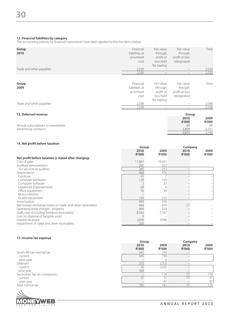#### **12. Financial liabilities by category**

The accounting policies for financial instruments have been applied to the line items below:

| 13. Deferred revenue     |                             |                          | Group<br>2010<br>R'000           | 2009<br>R'000 |
|--------------------------|-----------------------------|--------------------------|----------------------------------|---------------|
|                          | 2,598                       |                          |                                  | 2,598         |
| Trade and other payables | 2,598                       | for trading              | -                                | 2,598         |
|                          | amortised<br>cost           | profit or<br>loss-held   | profit or loss<br>-designated    |               |
| 2009                     | liabilities at              | through                  | through                          |               |
| Group                    | Financial                   | Fair value               | Fair value                       | Total         |
|                          | 2,520                       |                          |                                  | 2,520         |
| Trade and other payables | cost<br>2,520               | loss-held<br>for trading | -designated<br>$\qquad \qquad -$ | 2,520         |
| 2010                     | liabilities at<br>amortised | through<br>profit or     | through<br>profit or loss        |               |
| Group                    | Financial                   | Fair value               | Fair value                       | Total         |

| Annual subscriptions to newsletters | D4    |       |
|-------------------------------------|-------|-------|
| Advertising contracts               | 3 8U0 | 3.101 |

#### **14. Net profit before taxation**

|                                                            | Group         |               |               | Company       |  |
|------------------------------------------------------------|---------------|---------------|---------------|---------------|--|
|                                                            | 2010<br>R'000 | 2009<br>R'000 | 2010<br>R'000 | 2009<br>R'000 |  |
| Net profit before taxation is stated after charging:       |               |               |               |               |  |
| Cost of sales                                              | 11,867        | 10,031        |               |               |  |
| Auditors' remuneration                                     | 265           | 253           |               |               |  |
| - for services as auditors                                 | 265           | 253           |               |               |  |
| Depreciation                                               | 468           | 476           |               |               |  |
| Furniture                                                  | 43            |               |               |               |  |
| Computer hardware                                          | 139           | 159           |               |               |  |
| Computer software                                          |               | 33            |               |               |  |
| Leasehold improvements                                     | 68            | 6             |               |               |  |
| Office equipment                                           | 76            | 39            |               |               |  |
| Motor vehicles                                             |               |               |               |               |  |
| Studio equipment                                           | 139           | 232           |               |               |  |
| Amortisation                                               | 494           | 376           |               |               |  |
| Net foreign exchange losses on trade and other receivables | 464           | 479           | 27            |               |  |
| Operating lease charges - property                         | 969           | 554           |               |               |  |
| Staff costs (including freelance journalists)              | 8,562         | 7,707         |               |               |  |
| Loss on disposal of tangible asset                         |               |               |               |               |  |
| Interest received                                          | (358)         | (598)         |               |               |  |
| Impairment of trade and other receivables                  | 250           |               |               |               |  |

#### **15. Income tax expense**

|                            | Group |       |                              | Company |  |
|----------------------------|-------|-------|------------------------------|---------|--|
|                            | 2010  | 2009  | 2010                         | 2009    |  |
|                            | R'000 | R'000 | <b>R'000</b>                 | R'000   |  |
| South African normal tax   | 345   | 799   | $\qquad \qquad \blacksquare$ |         |  |
| - current                  | 345   | 790   |                              |         |  |
| - prior year               |       | q     |                              |         |  |
| Deferred                   | 310   | (232) |                              |         |  |
| - current                  | 10    | (232) |                              |         |  |
| - prior year               | 300   |       |                              |         |  |
| Secondary Tax on Companies |       | 174   | 77                           | 174     |  |
| - current                  | 77    | 77    | 77                           | 77      |  |
| - prior year               |       | 97    |                              | 97      |  |
| Total normal tax           | 732   | 741   | $\rightarrow$                | 174     |  |
|                            |       |       |                              |         |  |



3,873 3,190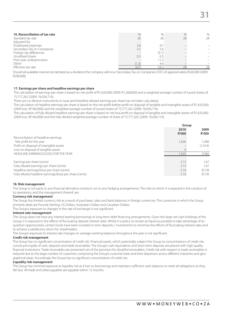| 16. Reconciliation of tax rate | $\%$ | $\frac{0}{0}$ | $\%$ | $\%$ |
|--------------------------------|------|---------------|------|------|
| Standard tax rate              | 28   | 28            | 28   | 28   |
| Adjusted for:                  |      |               |      |      |
| Disallowed expenses            | 2.8  | 9.7           |      |      |
| Secondary Tax on Companies     | 3.5  | 5.6           |      |      |
| Foreign tax differences        |      | (5.1)         |      |      |
| Unutilised losses              | 0.5  | 0.5           |      |      |
| Prior year underprovision      |      | 11.2          |      |      |
| Other                          |      | 4.4           |      |      |
| Effective tax rate             |      | 54.3          |      | 28   |

Should all available reserves be declared as a dividend, the company will incur Secondary Tax on Companies (STC) of approximately R320,000 (2009: R290,000)

#### **17. Earnings per share and headline earnings per share**

The calculation of earnings per share is based on net profit of R1,626,000 (2009: R1,268,000) and a weighted average number of issued shares of 75,777,262 (2009: 76,036,716).

There are no dilutive instruments in issue and therefore diluted earnings per share has not been calculated.

The calculation of headline earnings per share is based on the net profit before profit on disposal of tangible and intangible assets of R1,635,000 (2009 loss: (R146,000)) and the weighted average number of issued shares of 75,777,262 (2009: 76,036,716).

The calculation of fully diluted headline earnings per share is based on net loss profit on disposal of tangible and intangible assets of R1,635,000 (2009 loss: (R146,000)) and the fully diluted weighted average number of share of 75,777,262 (2009: 76,036,716).

|                                                          | Group         |               |
|----------------------------------------------------------|---------------|---------------|
|                                                          | 2010<br>R'000 | 2009<br>R'000 |
| Reconciliation of headline earnings:                     |               |               |
| Net profit for the year                                  | 1,626         | 1,268         |
| Profit on disposal of intangible assets                  |               | (1,414)       |
| Loss on disposal of tangible assets                      |               |               |
| HEADLINE EARNINGS/(LOSS) FOR THE YEAR                    | 1,635         | (146)         |
|                                                          |               |               |
| Earnings per share (cents)                               | 2.15          | 1.67          |
| Fully diluted earnings per share (cents)                 | 2.15          | 1.67          |
| Headline earnings/(loss) per share (cents)               | 2.16          | (0.19)        |
| Fully diluted headline earnings/(loss) per share (cents) | 2.16          | (0.19)        |

#### **18. Risk management**

The Group is not party to any financial derivative contracts nor to any hedging arrangements. The risks to which it is exposed in the conduct of its operations, and the management thereof, are:

#### **Currency risk management**

The Group has limited currency risk as a result of purchases, sales and bank balances in foreign currencies. The currencies in which the Group primarily deals are Pounds Sterling, US Dollars, Australian Dollars and Canadian Dollars. The Group's exposure to changes in the rate of exchange is not significant.

#### **Interest rate management**

The Group does not have any interest bearing borrowings or long-term debt financing arrangements. Given the large net cash holdings of the Group, it is exposed to the effects of fluctuating deposit interest rates. Whilst it is policy to remain as liquid as possible to take advantage of acquisition opportunities, certain funds have been invested in term deposits / investments to minimise the effects of fluctuating interest rates and to achieve a satisfactory return for shareholders.

The Group's exposure to interest rate changes on average working balances throughout the year is not significant.

#### **Credit risk management**

The Group has no significant concentration of credit risk. Financial assets, which potentially subject the Group to concentrations of credit risk, consist principally of cash, deposits and trade receivables. The Group's cash equivalents and short-term deposits are placed with high quality financial institutions. Trade receivables are presented net of the provision for doubtful receivables. Credit risk with respect to trade receivables is reduced due to the large number of customers comprising the Group's customer base and their dispersion across different industries and geographical areas. Accordingly the Group has no significant concentration of credit risk.

#### **Liquidity risk management**

The Group has minimal exposure to liquidity risk as it has no borrowings and maintains sufficient cash balances to meet all obligations as they fall due. All trade and other payables are payable within 12 months.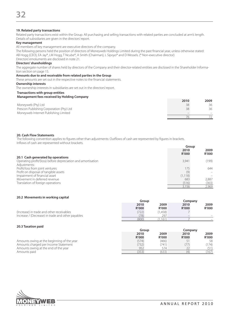#### **19. Related party transactions**

Related party transactions exist within the Group. All purchasing and selling transactions with related parties are concluded at arm's length. Details of subsidiaries are given in the directors' report.

#### **Key management**

All members of key management are executive directors of the company.

The following persons held the position of directors of Moneyweb Holdings Limited during the past financial year, unless otherwise stated: AB Hogg (CEO), EA Jay\*, LM Hogg, T Ncube\*, A Smith (Chairman), L Sipoyo\* and D Wessels. (\* Non-executive director) Directors' emoluments are disclosed in note 21.

#### **Directors' shareholdings**

The aggregate number of shares held by directors of the Company and their director-related entities are disclosed in the Shareholder Information section on page 15.

#### **Amounts due to and receivable from related parties in the Group**

These amounts are set out in the respective notes to the financial statements.

#### **Ownership interests**

The ownership interests in subsidiaries are set out in the directors' report.

#### **Transactions with group entities**

| Management fees received by Holding Company |      |      |
|---------------------------------------------|------|------|
|                                             | 2010 | 2009 |
| Moneyweb (Pty) Ltd                          | 38   | 36   |
| Prescon Publishing Corporation (Pty) Ltd    | 38   | 36   |
| Moneyweb Internet Publishing Limited        |      |      |
|                                             |      |      |

#### **20. Cash Flow Statements**

The following convention applies to figures other than adjustments: Outflows of cash are represented by figures in brackets. Inflows of cash are represented without brackets.

|                                                              | Group         |               |
|--------------------------------------------------------------|---------------|---------------|
|                                                              | 2010<br>R'000 | 2009<br>R'000 |
| 20.1 Cash generated by operations                            |               |               |
| Operating profit/(loss) before depreciation and amortisation | 3,941         | (199)         |
| Adjustments:                                                 |               |               |
| Profit/loss from joint ventures                              | 175           | 644           |
| Profit on disposal of tangible assets                        | (9)           |               |
| Impairment of financial asset                                | (1, 118)      |               |
| Movement in deferred revenue                                 | 683           | 2,887         |
| Translation of foreign operations                            | (516)         | (363)         |
|                                                              | 3.156         | 2.969         |

#### **20.2 Movements in working capital**

|                                                   | Group        |        | Company |       |
|---------------------------------------------------|--------------|--------|---------|-------|
|                                                   | 2010         | 2009   | 2010    | 2009  |
|                                                   | <b>R'000</b> | R'000  | R'000   | R'000 |
| (Increase) in trade and other receivables         |              | 1.458) |         |       |
| Increase / (Decrease) in trade and other payables | 78           | 297    |         |       |
|                                                   | (800)        | 161    |         |       |

#### **20.3 Taxation paid Group Company 2010 2009 2010 2009 R'000 R'000 R'000 R'000** Amounts owing at the beginning of the year (574) (466) 51 58<br>Amounts charged per Income Statement (174) (174) (174) (174) (174) Amounts charged per Income Statement (732) (741) (174) (174) (174) (174) (174) (174) (174) (174) (174) (174) (<br>Amounts owing at the end of the year (51) (1890) (1890) (1890) (1890) (1890) (1890) (1890) (1890) (1890) (189 Amounts owing at the end of the year (51)<br>
Amounts paid (353) (633) (633) (41 (167) Amounts paid (167) (633) (633) (633) (633) (633) (4) (167)

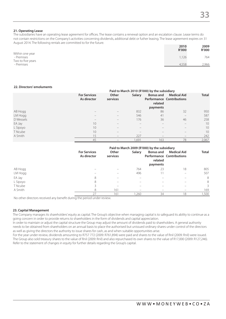#### **21. Operating Lease**

The subsidiaries have an operating lease agreement for offices. The lease contains a renewal option and an escalation clause. Lease terms do not contain restrictions on the Company's activities concerning dividends, additional debt or futher leasing. The lease agreement expires on 31 August 2014. The following rentals are committed to for the future.

|                                                    | 2010<br>R'000 | 2009<br><b>R'000</b> |
|----------------------------------------------------|---------------|----------------------|
| Within one year<br>- Premises<br>Two to five years | 1,126         | 764                  |
| - Premises                                         | 4.558         | 2,966                |

#### **22. Directors' emoluments**

|           | Paid to March 2010 (R'000) by the subsidiary |                   |                   |                             |                                                        |                 |
|-----------|----------------------------------------------|-------------------|-------------------|-----------------------------|--------------------------------------------------------|-----------------|
|           | <b>For Services</b><br>As director           | Other<br>services | <b>Salary</b>     | <b>Bonus and</b><br>related | <b>Medical Aid</b><br><b>Performance Contributions</b> | <b>Total</b>    |
|           |                                              |                   |                   | payments                    |                                                        |                 |
| AB Hogg   | -                                            |                   | 832               | 86                          | 32                                                     | 950             |
| LM Hogg   | -                                            |                   | 546               | 41                          | $\overline{\phantom{a}}$                               | 587             |
| D Wessels | $\overline{\phantom{a}}$                     |                   | 176               | 36                          | 46                                                     | 258             |
| EA Jay    | 10                                           |                   | $\qquad \qquad -$ | $\qquad \qquad -$           | $\overline{\phantom{a}}$                               | 10 <sup>°</sup> |
| L Sipoyo  | 10                                           |                   | -                 |                             | $\qquad \qquad$                                        | 10              |
| T Ncube   | 10                                           |                   | -                 |                             | $\overline{\phantom{a}}$                               | 10              |
| A Smith   | 15                                           | $\qquad \qquad -$ | 227               | $\qquad \qquad -$           | $\qquad \qquad \blacksquare$                           | 242             |
|           | 45                                           |                   | ,691              | 163                         | 78                                                     | 2,067           |

|          | Paid to March 2009 (R'000) by the subsidiary |                   |                          |                                         |                                                        |              |
|----------|----------------------------------------------|-------------------|--------------------------|-----------------------------------------|--------------------------------------------------------|--------------|
|          | <b>For Services</b><br>As director           | Other<br>services | Salary                   | <b>Bonus and</b><br>related<br>payments | <b>Medical Aid</b><br><b>Performance Contributions</b> | <b>Total</b> |
| AB Hogg  |                                              |                   | 764                      | 23                                      | 18                                                     | 805          |
| LM Hogg  | $\overline{\phantom{a}}$                     |                   | 496                      |                                         | -                                                      | 507          |
| EA Jay   | 8                                            |                   | $\overline{\phantom{a}}$ |                                         |                                                        | 8            |
| L Sipoyo | 8                                            | -                 |                          |                                         | -                                                      | 8            |
| T Ncube  |                                              |                   | $\overline{\phantom{a}}$ |                                         | -                                                      | 3            |
| A Smith  | 8                                            | 161               |                          |                                         |                                                        | 169          |
|          | つつ                                           | 161               | .260                     | 34                                      | 18                                                     | ,500         |

No other directors received any benefit during the period under review.

#### **23. Capital Management**

The Company manages its shareholders' equity as capital. The Group's objective when managing capital is to safeguard its ability to continue as a going concern in order to provide returns to shareholders in the form of dividends and capital appreciation.

In order to maintain or adjust the capital structure the Group may adjust the amount of dividends paid to shareholders. A general authority needs to be obtained from shareholders on an annual basis to place the authorised but unissued ordinary shares under control of the directors as well as giving the directors the authority to issue shares for cash, as and when suitable opportunities arise.

For the year under review, dividends amounting to R757 772 (2009: R761,894) were paid and shares to the value of Rnil (2009: Rnil) were issued. The Group also sold treasury shares to the value of Rnil (2009: Rnil) and also repurchased its own shares to the value of R17,000 (2009: R127,246). Refer to the statement of changes in equity for further details regarding the Group's capital.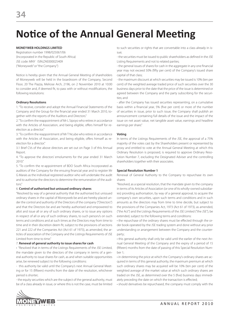## **Notice of the Annual General Meeting**

#### **MONEYWEB HOLDINGS LIMITED**

Registration number 1998/025067/06 (Incorporated in the Republic of South Africa) JSE code: MNY ISIN:ZAE000025409 ("Moneyweb" or "the Company")

Notice is hereby given that the Annual General Meeting of shareholders of Moneyweb will be held in the boardroom of the Company, Second Floor, 20 The Piazza, Melrose Arch, 2196, on 2 November 2010 at 10:00 to consider and, if deemed fit, to pass with or without modifications, the following resolutions:

#### **Ordinary Resolutions**

1. "To receive, consider and adopt the Annual Financial Statements of the Company and the Group for the financial year ended 31 March 2010, together with the reports of the Auditors and Directors."

2. "To confirm the reappointment of Mr L Sipoyo who retires in accordance with the Articles of Association, and being eligible, offers himself for reelection as a director"

3. "To confirm the reappointment of Mr T Ncube who retires in accordance with the Articles of Association, and being eligible, offers himself as reelection for a director"

3.1 Brief CVs of the above directors are set out on Page 3 of this Annual Report.

4. "To approve the directors' emoluments for the year ended 31 March  $2010''$ 

5. "To confirm the re-appointment of BDO South Africa Incorporated as auditors of the Company for the ensuing financial year and to register Mr G Marais as the individual registered auditor who will undertake the audit and to authorise the directors to determine the remuneration of the auditors."

#### 6. **Control of authorised but unissued ordinary shares**

"Resolved by way of a general authority that the authorised but unissued ordinary shares in the capital of Moneyweb be and are hereby placed under the control and authority of the Directors of the company ("Directors") and that the Directors be and are hereby authorised and empowered to allot and issue all or any of such ordinary shares, or to issue any options in respect of all or any of such ordinary shares, to such person/s on such terms and conditions and at such times as the Directors may from time to time and in their discretion deem fit, subject to the provisions of sections 221 and 222 of the Companies Act (Act 61 of 1973), as amended, the articles of association of the Company and the Listings Requirements of JSE Limited from time to time."

#### 7. **Renewal of general authority to issue shares for cash**

• "Resolved that in terms of the Listings Requirements of the JSE Limited, the mandate given to the directors of the company in terms of a general authority to issue shares for cash, as and when suitable opportunities arise, be renewed subject to the following conditions:

- this authority be valid until the Company's next Annual General Meeting or for 15 (fifteen) months from the date of the resolution, whichever period is shorter;

- the equity securities which are the subject of the general authority, must be of a class already in issue, or where this is not the case, must be limited



- the securities must be issued to public shareholders as defined in the JSE Listing Requirements and not to related parties;

- the general issues of shares for cash in the aggregate in any one financial year may not exceed 50% (fifty per cent) of the Company's issued share capital of that class;

- the maximum discount at which securities may be issued is 10% (ten per cent) of the weighted average traded price of such securities over the 30 business days prior to the date that the price of the issue is determined or agreed between the Company and the party subscribing for the securities; and

- after the Company has issued securities representing, on a cumulative basis within a financial year, 5% (five per cent) or more of the number of securities in issue, prior to such issue, the Company shall publish an announcement containing full details of the issue and the impact of the issue on net asset value, net tangible asset value, earnings and headline earnings per share."

#### **Voting**

In terms of the Listings Requirements of the JSE, the approval of a 75% majority of the votes cast by the Shareholders present or represented by proxy and entitled to vote at the Annual General Meeting at which this Ordinary Resolution is proposed, is required to approve Ordinary Resolution Number 7, excluding the Designated Adviser and the controlling shareholders together with their associates.

#### **Special Resolution Number 1**

Renewal of General Authority to the Company to repurchase its own shares

"Resolved, as a special resolution, that the mandate given to the company in terms of its Articles of Association (or one of its wholly-owned subsidiaries) providing authorisation, by way of a general approval, to acquire the company's own securities, upon such terms and conditions and in such amounts as the directors may from time to time decide, but subject to the provisions of the Companies Act, 1973 (Act 61 of 1973), as amended, ("the Act") and the Listings Requirements of the JSE Limited ("the JSE"), be extended, subject to the following terms and conditions:

• the repurchase of the ordinary shares must be effected through the order book operated by the JSE trading system and done without any prior understanding or arrangement between the Company and the counterparty;

• this general authority shall only be valid until the earlier of the next Annual General Meeting of the Company and the expiry of a period of 15 (fifteen) months from the date of passing of this Special Resolution Number 1;

• in determining the price at which the Company's ordinary shares are acquired in terms of this general authority, the maximum premium at which such ordinary shares may be acquired will be 10% (ten per cent) of the weighted average of the market value at which such ordinary shares are traded on the JSE, as determined over the 5 (five) business days immediately preceding the date on which the transaction is effected;

• should derivatives be repurchased, the company must comply with the

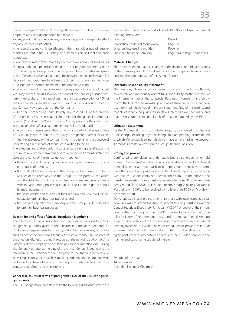relevant paragraphs of the JSE Listings Requirements; subject to any exemptions and/or additions contained therein;

• at any point in time, the Company may only appoint one agent to effect any repurchases on its behalf;

• the repurchase may only be effected, if the shareholder spread requirements as set out in the JSE Listings Requirements are still met after such repurchase;

• Repurchases may not be made by the company and/or its subsidiaries during a prohibited period as defined by the Listings Requirements of the JSE unless a repurchase programme is in place where the dates and quantities of securities to be traded during the relevant period are fixed and full details of the programme have been disclosed in an announcement over SENS prior to the commencement of the prohibited period;

• the repurchase of ordinary shares in the aggregate in any one financial year may not exceed 20% (twenty per cent) of the Company's issued ordinary share capital at the date of passing this special resolution or 10% of the Company's issued share capital in case of an acquisition of shares in the Company by a subsidiary of the Company;

• when the Company has cumulatively repurchased 3% of the number of the ordinary shares in issue at the time that this general authority is granted ("initial number"), and for each 3% in aggregate of the initial number acquired thereafter, an announcement will be made; and

• the company may not enter the market to proceed with the repurchase of its ordinary shares until the company's designated adviser has confirmed the adequacy of the company's working capital for the purpose of undertaking a repurchase of securities in writing to the JSE."

The directors are of the opnion that, after considering the effect of the maximum repurchase permitted and for a period of 12 months after the date of the notice of the annual general meeting:

- the Company and the Group will be able to repay its debts in the ordinary course of business;
- the assets of the Company and the Group will be in excess of the liabilities of the Company and the Group. For this purpose, the assets and the liabilities should be recognised and measured in accordance with the accounting policies used in the latest audited group annual financial statements;
- the share capital and reserves of the Company and Group will be adequate for ordinary business purposes; and
- the working capital of the Company and the Group will be adequate for ordinary business purposes.

#### **Reason for and effect of Special Resolution Number 1**

The effect of the special resolution and the reason therefor is to extend the general authority given to the directors in terms of the Act and the JSE Listings Requirements for the acquisition by the company and/or its subsidiaries of the company's securities, which authority shall be used at the directors' discretion during the course of the period so authorised. The Directors of the Company do not have any specific intentions for utilising the General Authority at the date of the Annual General Meeting. It is the intention of the Directors of the Company to use such authority should prevailing circumstances, such as market conditions, in their opinion warrant it and will take into account the long term cash needs of the Company and the Group and their interests.

#### **Other disclosures in terms of paragraph 11.26 of the JSE Listings Requirements**

The JSE Listings Requirements require the following disclosures which are

contained in the Annual Report of which this Notice of Annual General Meeting forms part:

| Directors                          | Page 3                        |
|------------------------------------|-------------------------------|
| Major shareholders of Moneyweb     | Page 15                       |
| Directors' interests in securities | Page 16                       |
| Share capital of the Company       | Page 20 and Page 29 (note 10) |

#### **Material Changes**

There have been no material changes in the financial or trading positions of the Company and its subsidiaries since the Company's financial yearend and the signature date of this Annual Report.

#### **Directors' Responsibility Statement**

The Directors, whose names are given on page 3 of the Annual Report, collectively and individually accept full responsibility for the accuracy of the information pertaining to Special Resolution Number 1 and certify that to the best of their knowledge and belief there are no facts that have been omitted which would make any statement false or misleading, and that all reasonable enquiries to ascertain such facts have been made and that this resolution contains all such information required by the JSE.

#### **Litigation Statement**

Neither Moneyweb nor its subsidiaries are party to any legal or arbitration proceedings, including any proceedings that are pending or threatened of which Moneyweb is aware, which may have or have had in the previous 12 months a material effect on the Group's financial position.

#### **Voting and proxies**

Certificated shareholders and dematerialised shareholders who hold shares in "own name" registration who are unable to attend the Annual General Meeting and who wish to be represented thereat, must complete the form of proxy as attached to this Annual Report, in accordance with the instructions contained therein and return it to the office of the transfer secretaries, Computershare Investor Services (Proprietary) Limited, Ground Floor, 70 Marshall Street, Johannesburg, 2001 (PO Box 61051, Marshalltown, 2107), to be received by no later than 10:00 on Monday, 1 November 2010.

Dematerialised shareholders, other than those with "own name" registration who wish to attend the Annual General Meeting, must inform their Central Securities Depository Participant ("CSDP") or broker of their intention to attend and request their CSDP or broker to issue them with the relevant Letter of Representation to attend the Annual General Meeting in person and vote, or, if they do not wish to attend the Annual General Meeting in person, but wish to be represented thereat, provide their CSDP or broker with their voting instructions in terms of the relevant custody agreement entered into between them and their CSDP or broker in the manner and cut-off time stipulated therein.

By order of the board 14 September 2010 A Smith – Executive Chairman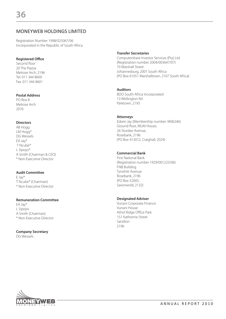### MONEYWEB HOLDINGS LIMITED

Registration Number 1998/025067/06 Incorporated in the Republic of South Africa

#### **Registered Office**

Second floor 20 The Piazza Melrose Arch, 2196 Tel: 011 344 8600 Fax: 011 344 8601

#### **Postal Address**

PO Box 8 Melrose Arch 2076

#### **Directors**

AB Hogg LM Hogg\* DG Wessels EA Jay\* T Ncube\* L Sipoyo\* A Smith (Chairman & CEO) \* Non-Executive Director

#### **Audit Committee**

E Jay\* T Ncube\* (Chairman) \* Non-Executive Director

#### **Remuneration Committee**

EA Jay\* L Sipoyo A Smith (Chairman) \* Non-Executive Director

#### **Company Secretary**

DG Wessels

#### **Transfer Secretaries**

Computershare Investor Services (Pty) Ltd (Registration number 2004/003647/07) 70 Marshall Street Johannesburg, 2001 South Africa (PO Box 61051 Marshalltown, 2107 South Africa)

#### **Auditors**

BDO South Africa Incorporated 13 Wellington Rd Parktown, 2193

#### **Attorneys**

Edwin Jay (Membership number: M06246) Ground floor, MUAI House, 26 Sturdee Avenue, Rosebank, 2196 (PO Box 413012, Craighall, 2024)

#### **Commercial Bank**

First National Bank (Registration number 1929/001225/06) FNB Building Tyrwhitt Avenue Rosebank, 2196 (PO Box 52005, Saxonwold, 2132)

#### **Designated Adviser**

Vunani Corporate Finance Vunani House Athol Ridge Office Park 151 Katherine Street Sandton 2196